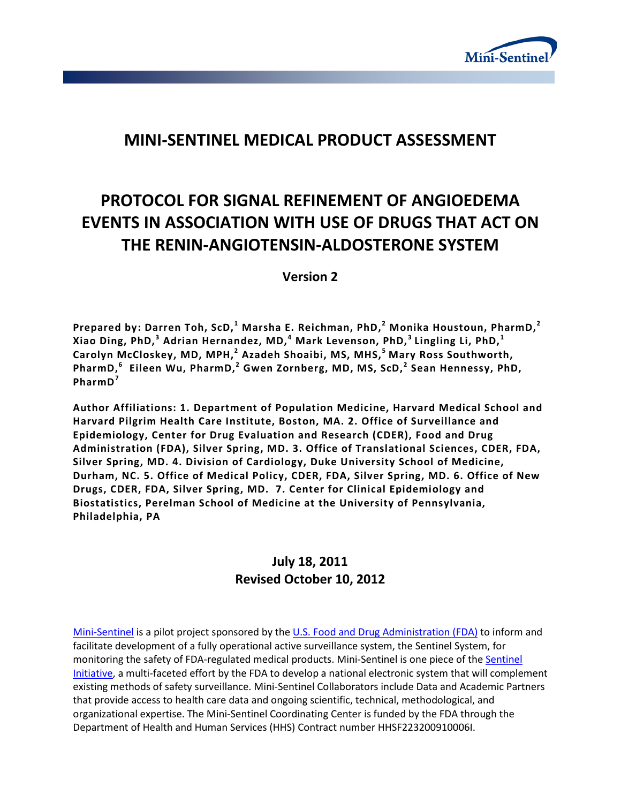

# **MINI-SENTINEL MEDICAL PRODUCT ASSESSMENT**

# **PROTOCOL FOR SIGNAL REFINEMENT OF ANGIOEDEMA EVENTS IN ASSOCIATION WITH USE OF DRUGS THAT ACT ON THE RENIN-ANGIOTENSIN-ALDOSTERONE SYSTEM**

**Version 2**

**Prepared by: Darren Toh, ScD, <sup>1</sup> Marsha E. Reichman, PhD, <sup>2</sup> Monika Houstoun, PharmD,<sup>2</sup> Xiao Ding, PhD,<sup>3</sup> Adrian Hernandez, MD,<sup>4</sup> Mark Levenson, PhD, 3 Lingling Li, PhD,1 Carolyn McCloskey, MD, MPH,<sup>2</sup> Azadeh Shoaibi, MS, MHS, 5 Mary Ross Southworth, PharmD,<sup>6</sup> Eileen Wu, PharmD,<sup>2</sup> Gwen Zornberg, MD, MS, ScD, <sup>2</sup> Sean Hennessy, PhD, PharmD<sup>7</sup>**

**Author Affiliations: 1. Department of Population Medicine, Harvard Medical School and Harvard Pilgrim Health Care Institute, Boston, MA. 2. Office of Surveillance and Epidemiology, Center for Drug Evaluation and Research (CDER), Food and Drug Administration (FDA), Silver Spring, MD. 3. Office of Translational Sciences, CDER, FDA, Silver Spring, MD. 4. Division of Cardiology, Duke University School of Medicine, Durham, NC. 5. Office of Medical Policy, CDER, FDA, Silver Spring, MD. 6. Office of New Drugs, CDER, FDA, Silver Spring, MD. 7. Center for Clinical Epidemiology and Biostatistics, Perelman School of Medicine at the University of Pennsylvania, Philadelphia, PA**

# **July 18, 2011 Revised October 10, 2012**

[Mini-Sentinel](http://mini-sentinel.org/) is a pilot project sponsored by th[e U.S. Food and Drug Administration \(FDA\)](http://www.fda.gov/) to inform and facilitate development of a fully operational active surveillance system, the Sentinel System, for monitoring the safety of FDA-regulated medical products. Mini-Sentinel is one piece of the [Sentinel](http://www.fda.gov/Safety/FDAsSentinelInitiative/default.htm)  [Initiative,](http://www.fda.gov/Safety/FDAsSentinelInitiative/default.htm) a multi-faceted effort by the FDA to develop a national electronic system that will complement existing methods of safety surveillance. Mini-Sentinel Collaborators include Data and Academic Partners that provide access to health care data and ongoing scientific, technical, methodological, and organizational expertise. The Mini-Sentinel Coordinating Center is funded by the FDA through the Department of Health and Human Services (HHS) Contract number HHSF223200910006I.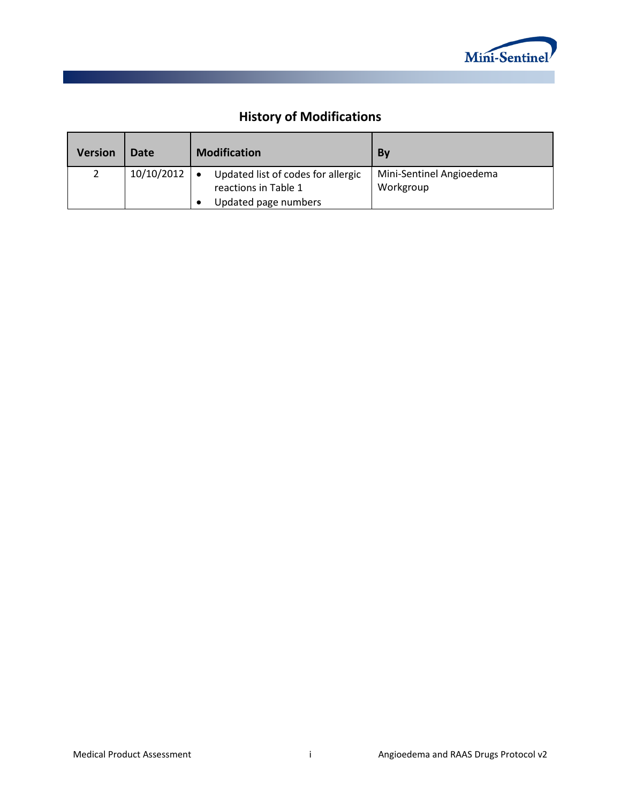

# **History of Modifications**

| <b>Version</b> | Date       | <b>Modification</b>                                        | <b>By</b>                             |
|----------------|------------|------------------------------------------------------------|---------------------------------------|
| 2              | 10/10/2012 | Updated list of codes for allergic<br>reactions in Table 1 | Mini-Sentinel Angioedema<br>Workgroup |
|                |            | Updated page numbers                                       |                                       |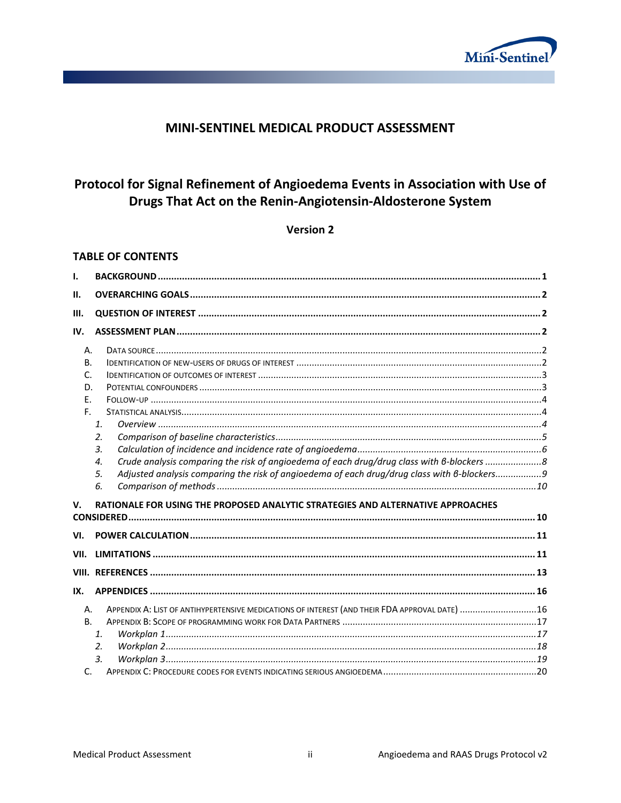

### MINI-SENTINEL MEDICAL PRODUCT ASSESSMENT

# Protocol for Signal Refinement of Angioedema Events in Association with Use of Drugs That Act on the Renin-Angiotensin-Aldosterone System

**Version 2** 

#### **TABLE OF CONTENTS**

| $\mathbf{L}$                            |                                                                                                                                                                                                                                                                                                                   |  |
|-----------------------------------------|-------------------------------------------------------------------------------------------------------------------------------------------------------------------------------------------------------------------------------------------------------------------------------------------------------------------|--|
| П.                                      |                                                                                                                                                                                                                                                                                                                   |  |
| Ш.                                      |                                                                                                                                                                                                                                                                                                                   |  |
| IV.                                     |                                                                                                                                                                                                                                                                                                                   |  |
| Α.<br><b>B.</b><br>C.<br>D.<br>Ε.<br>E. | $\mathbf{1}$<br>2.                                                                                                                                                                                                                                                                                                |  |
| V.                                      | $\overline{3}$ .<br>Crude analysis comparing the risk of angioedema of each drug/drug class with 6-blockers 8<br>4.<br>Adjusted analysis comparing the risk of angioedema of each drug/drug class with 6-blockers9<br>5.<br>6.<br>RATIONALE FOR USING THE PROPOSED ANALYTIC STRATEGIES AND ALTERNATIVE APPROACHES |  |
| VI.                                     |                                                                                                                                                                                                                                                                                                                   |  |
| VII.                                    |                                                                                                                                                                                                                                                                                                                   |  |
| IX.                                     |                                                                                                                                                                                                                                                                                                                   |  |
| Α.<br><b>B.</b><br>C.                   | APPENDIX A: LIST OF ANTIHYPERTENSIVE MEDICATIONS OF INTEREST (AND THEIR FDA APPROVAL DATE) 16<br>1.<br>2.<br>$\overline{3}$ .                                                                                                                                                                                     |  |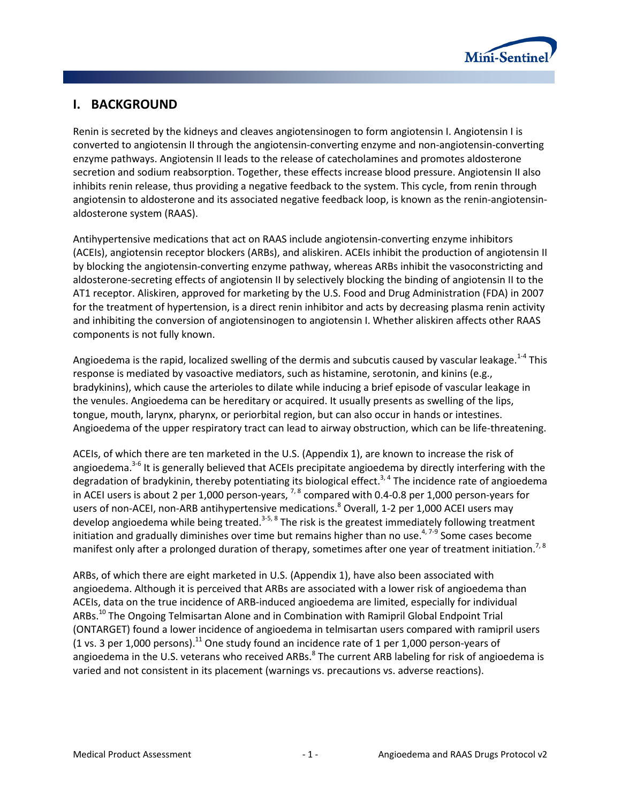

## <span id="page-3-0"></span>**I. BACKGROUND**

Renin is secreted by the kidneys and cleaves angiotensinogen to form angiotensin I. Angiotensin I is converted to angiotensin II through the angiotensin-converting enzyme and non-angiotensin-converting enzyme pathways. Angiotensin II leads to the release of catecholamines and promotes aldosterone secretion and sodium reabsorption. Together, these effects increase blood pressure. Angiotensin II also inhibits renin release, thus providing a negative feedback to the system. This cycle, from renin through angiotensin to aldosterone and its associated negative feedback loop, is known as the renin-angiotensinaldosterone system (RAAS).

Antihypertensive medications that act on RAAS include angiotensin-converting enzyme inhibitors (ACEIs), angiotensin receptor blockers (ARBs), and aliskiren. ACEIs inhibit the production of angiotensin II by blocking the angiotensin-converting enzyme pathway, whereas ARBs inhibit the vasoconstricting and aldosterone-secreting effects of angiotensin II by selectively blocking the binding of angiotensin II to the AT1 receptor. Aliskiren, approved for marketing by the U.S. Food and Drug Administration (FDA) in 2007 for the treatment of hypertension, is a direct renin inhibitor and acts by decreasing plasma renin activity and inhibiting the conversion of angiotensinogen to angiotensin I. Whether aliskiren affects other RAAS components is not fully known.

Angioedema is the rapid, localized swelling of the dermis and subcutis caused by vascular leakage.<sup>1-4</sup> This response is mediated by vasoactive mediators, such as histamine, serotonin, and kinins (e.g., bradykinins), which cause the arterioles to dilate while inducing a brief episode of vascular leakage in the venules. Angioedema can be hereditary or acquired. It usually presents as swelling of the lips, tongue, mouth, larynx, pharynx, or periorbital region, but can also occur in hands or intestines. Angioedema of the upper respiratory tract can lead to airway obstruction, which can be life-threatening.

ACEIs, of which there are ten marketed in the U.S. (Appendix 1), are known to increase the risk of angioedema.<sup>3-6</sup> It is generally believed that ACEIs precipitate angioedema by directly interfering with the degradation of bradykinin, thereby potentiating its biological effect.<sup>3, 4</sup> The incidence rate of angioedema in ACEI users is about 2 per 1,000 person-years, 7, 8 compared with 0.4-0.8 per 1,000 person-years for users of non-ACEI, non-ARB antihypertensive medications.<sup>8</sup> Overall, 1-2 per 1,000 ACEI users may develop angioedema while being treated.<sup>3-5, 8</sup> The risk is the greatest immediately following treatment initiation and gradually diminishes over time but remains higher than no use.<sup>4,7-9</sup> Some cases become manifest only after a prolonged duration of therapy, sometimes after one year of treatment initiation.<sup>7, 8</sup>

ARBs, of which there are eight marketed in U.S. (Appendix 1), have also been associated with angioedema. Although it is perceived that ARBs are associated with a lower risk of angioedema than ACEIs, data on the true incidence of ARB-induced angioedema are limited, especially for individual ARBs.<sup>10</sup> The Ongoing Telmisartan Alone and in Combination with Ramipril Global Endpoint Trial (ONTARGET) found a lower incidence of angioedema in telmisartan users compared with ramipril users (1 vs. 3 per 1,000 persons).<sup>11</sup> One study found an incidence rate of 1 per 1,000 person-years of angioedema in the U.S. veterans who received ARBs.<sup>8</sup> The current ARB labeling for risk of angioedema is varied and not consistent in its placement (warnings vs. precautions vs. adverse reactions).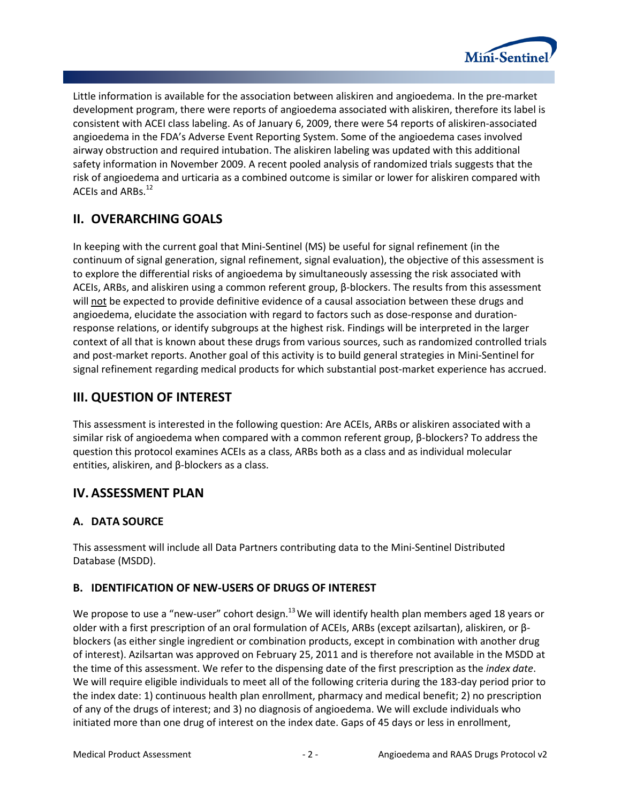

Little information is available for the association between aliskiren and angioedema. In the pre-market development program, there were reports of angioedema associated with aliskiren, therefore its label is consistent with ACEI class labeling. As of January 6, 2009, there were 54 reports of aliskiren-associated angioedema in the FDA's Adverse Event Reporting System. Some of the angioedema cases involved airway obstruction and required intubation. The aliskiren labeling was updated with this additional safety information in November 2009. A recent pooled analysis of randomized trials suggests that the risk of angioedema and urticaria as a combined outcome is similar or lower for aliskiren compared with ACEIs and ARBs.12

# <span id="page-4-0"></span>**II. OVERARCHING GOALS**

In keeping with the current goal that Mini-Sentinel (MS) be useful for signal refinement (in the continuum of signal generation, signal refinement, signal evaluation), the objective of this assessment is to explore the differential risks of angioedema by simultaneously assessing the risk associated with ACEIs, ARBs, and aliskiren using a common referent group, β-blockers. The results from this assessment will not be expected to provide definitive evidence of a causal association between these drugs and angioedema, elucidate the association with regard to factors such as dose-response and durationresponse relations, or identify subgroups at the highest risk. Findings will be interpreted in the larger context of all that is known about these drugs from various sources, such as randomized controlled trials and post-market reports. Another goal of this activity is to build general strategies in Mini-Sentinel for signal refinement regarding medical products for which substantial post-market experience has accrued.

# <span id="page-4-1"></span>**III. QUESTION OF INTEREST**

This assessment is interested in the following question: Are ACEIs, ARBs or aliskiren associated with a similar risk of angioedema when compared with a common referent group, β-blockers? To address the question this protocol examines ACEIs as a class, ARBs both as a class and as individual molecular entities, aliskiren, and β-blockers as a class.

## <span id="page-4-2"></span>**IV. ASSESSMENT PLAN**

### <span id="page-4-3"></span>**A. DATA SOURCE**

This assessment will include all Data Partners contributing data to the Mini-Sentinel Distributed Database (MSDD).

### <span id="page-4-4"></span>**B. IDENTIFICATION OF NEW-USERS OF DRUGS OF INTEREST**

We propose to use a "new-user" cohort design. $^{13}$  We will identify health plan members aged 18 years or older with a first prescription of an oral formulation of ACEIs, ARBs (except azilsartan), aliskiren, or βblockers (as either single ingredient or combination products, except in combination with another drug of interest). Azilsartan was approved on February 25, 2011 and is therefore not available in the MSDD at the time of this assessment. We refer to the dispensing date of the first prescription as the *index date*. We will require eligible individuals to meet all of the following criteria during the 183-day period prior to the index date: 1) continuous health plan enrollment, pharmacy and medical benefit; 2) no prescription of any of the drugs of interest; and 3) no diagnosis of angioedema. We will exclude individuals who initiated more than one drug of interest on the index date. Gaps of 45 days or less in enrollment,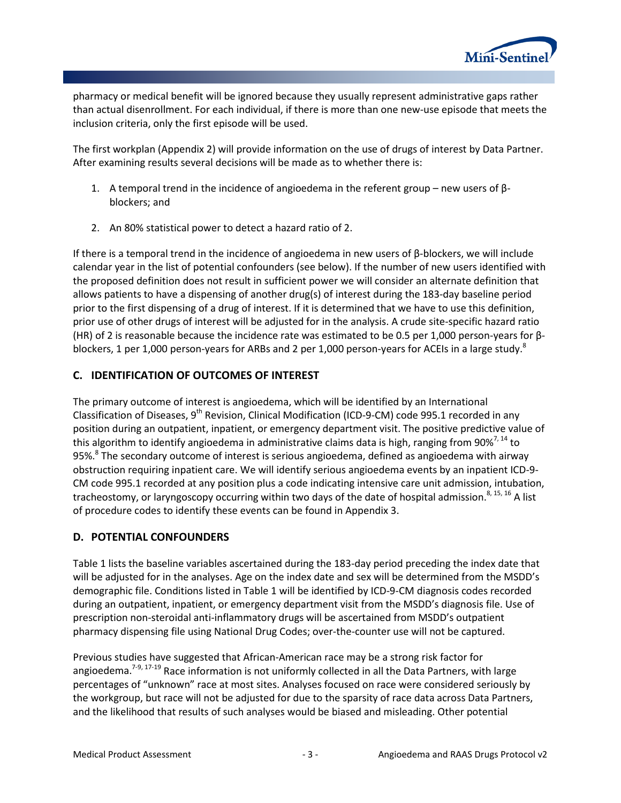

pharmacy or medical benefit will be ignored because they usually represent administrative gaps rather than actual disenrollment. For each individual, if there is more than one new-use episode that meets the inclusion criteria, only the first episode will be used.

The first workplan (Appendix 2) will provide information on the use of drugs of interest by Data Partner. After examining results several decisions will be made as to whether there is:

- 1. A temporal trend in the incidence of angioedema in the referent group new users of  $β$ blockers; and
- 2. An 80% statistical power to detect a hazard ratio of 2.

If there is a temporal trend in the incidence of angioedema in new users of β-blockers, we will include calendar year in the list of potential confounders (see below). If the number of new users identified with the proposed definition does not result in sufficient power we will consider an alternate definition that allows patients to have a dispensing of another drug(s) of interest during the 183-day baseline period prior to the first dispensing of a drug of interest. If it is determined that we have to use this definition, prior use of other drugs of interest will be adjusted for in the analysis. A crude site-specific hazard ratio (HR) of 2 is reasonable because the incidence rate was estimated to be 0.5 per 1,000 person-years for βblockers, 1 per 1,000 person-years for ARBs and 2 per 1,000 person-years for ACEIs in a large study.<sup>8</sup>

#### <span id="page-5-0"></span>**C. IDENTIFICATION OF OUTCOMES OF INTEREST**

The primary outcome of interest is angioedema, which will be identified by an International Classification of Diseases,  $9<sup>th</sup>$  Revision, Clinical Modification (ICD-9-CM) code 995.1 recorded in any position during an outpatient, inpatient, or emergency department visit. The positive predictive value of this algorithm to identify angioedema in administrative claims data is high, ranging from  $90\%^{7,14}$  to 95%.<sup>8</sup> The secondary outcome of interest is serious angioedema, defined as angioedema with airway obstruction requiring inpatient care. We will identify serious angioedema events by an inpatient ICD-9- CM code 995.1 recorded at any position plus a code indicating intensive care unit admission, intubation, tracheostomy, or laryngoscopy occurring within two days of the date of hospital admission.<sup>8, 15, 16</sup> A list of procedure codes to identify these events can be found in Appendix 3.

#### <span id="page-5-1"></span>**D. POTENTIAL CONFOUNDERS**

Table 1 lists the baseline variables ascertained during the 183-day period preceding the index date that will be adjusted for in the analyses. Age on the index date and sex will be determined from the MSDD's demographic file. Conditions listed in Table 1 will be identified by ICD-9-CM diagnosis codes recorded during an outpatient, inpatient, or emergency department visit from the MSDD's diagnosis file. Use of prescription non-steroidal anti-inflammatory drugs will be ascertained from MSDD's outpatient pharmacy dispensing file using National Drug Codes; over-the-counter use will not be captured.

Previous studies have suggested that African-American race may be a strong risk factor for angioedema.<sup>7-9, 17-19</sup> Race information is not uniformly collected in all the Data Partners, with large percentages of "unknown" race at most sites. Analyses focused on race were considered seriously by the workgroup, but race will not be adjusted for due to the sparsity of race data across Data Partners, and the likelihood that results of such analyses would be biased and misleading. Other potential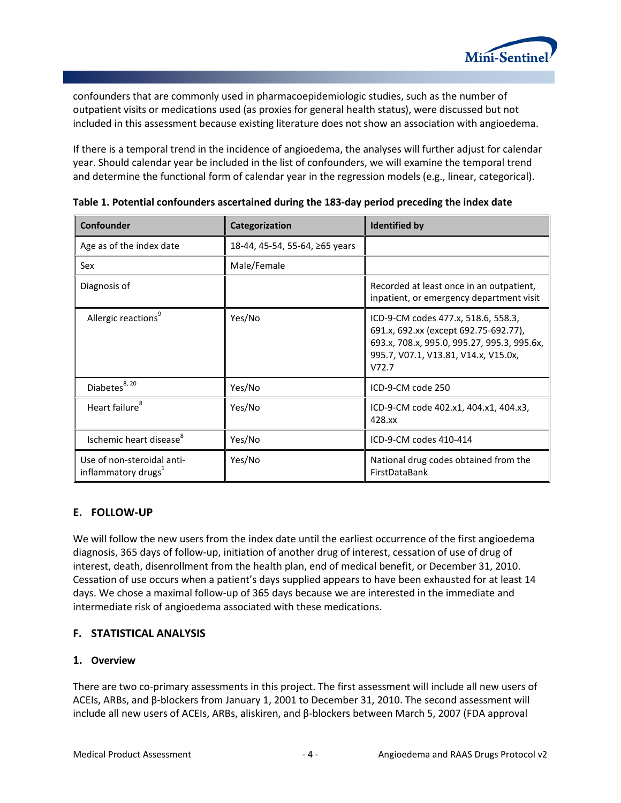

confounders that are commonly used in pharmacoepidemiologic studies, such as the number of outpatient visits or medications used (as proxies for general health status), were discussed but not included in this assessment because existing literature does not show an association with angioedema.

If there is a temporal trend in the incidence of angioedema, the analyses will further adjust for calendar year. Should calendar year be included in the list of confounders, we will examine the temporal trend and determine the functional form of calendar year in the regression models (e.g., linear, categorical).

| Confounder                                                    | Categorization                 | <b>Identified by</b>                                                                                                                                                         |
|---------------------------------------------------------------|--------------------------------|------------------------------------------------------------------------------------------------------------------------------------------------------------------------------|
| Age as of the index date                                      | 18-44, 45-54, 55-64, ≥65 years |                                                                                                                                                                              |
| Sex                                                           | Male/Female                    |                                                                                                                                                                              |
| Diagnosis of                                                  |                                | Recorded at least once in an outpatient,<br>inpatient, or emergency department visit                                                                                         |
| Allergic reactions <sup>9</sup>                               | Yes/No                         | ICD-9-CM codes 477.x, 518.6, 558.3,<br>691.x, 692.xx (except 692.75-692.77),<br>693.x, 708.x, 995.0, 995.27, 995.3, 995.6x,<br>995.7, V07.1, V13.81, V14.x, V15.0x,<br>V72.7 |
| Diabetes <sup>8, 20</sup>                                     | Yes/No                         | ICD-9-CM code 250                                                                                                                                                            |
| Heart failure <sup>8</sup>                                    | Yes/No                         | ICD-9-CM code 402.x1, 404.x1, 404.x3,<br>428.xx                                                                                                                              |
| Ischemic heart disease <sup>8</sup>                           | Yes/No                         | ICD-9-CM codes 410-414                                                                                                                                                       |
| Use of non-steroidal anti-<br>inflammatory drugs <sup>1</sup> | Yes/No                         | National drug codes obtained from the<br>FirstDataBank                                                                                                                       |

**Table 1. Potential confounders ascertained during the 183-day period preceding the index date**

#### <span id="page-6-0"></span>**E. FOLLOW-UP**

We will follow the new users from the index date until the earliest occurrence of the first angioedema diagnosis, 365 days of follow-up, initiation of another drug of interest, cessation of use of drug of interest, death, disenrollment from the health plan, end of medical benefit, or December 31, 2010. Cessation of use occurs when a patient's days supplied appears to have been exhausted for at least 14 days. We chose a maximal follow-up of 365 days because we are interested in the immediate and intermediate risk of angioedema associated with these medications.

### <span id="page-6-1"></span>**F. STATISTICAL ANALYSIS**

#### <span id="page-6-2"></span>**1. Overview**

There are two co-primary assessments in this project. The first assessment will include all new users of ACEIs, ARBs, and β-blockers from January 1, 2001 to December 31, 2010. The second assessment will include all new users of ACEIs, ARBs, aliskiren, and β-blockers between March 5, 2007 (FDA approval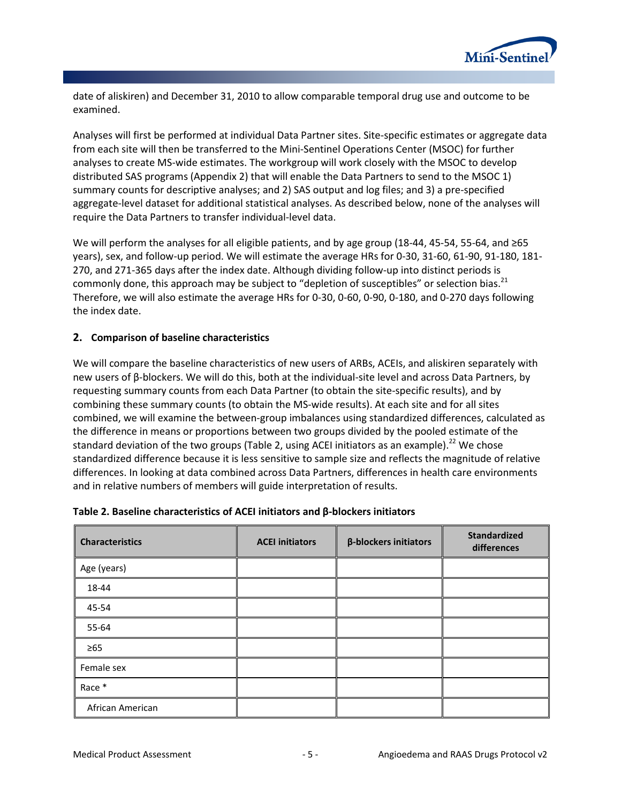

date of aliskiren) and December 31, 2010 to allow comparable temporal drug use and outcome to be examined.

Analyses will first be performed at individual Data Partner sites. Site-specific estimates or aggregate data from each site will then be transferred to the Mini-Sentinel Operations Center (MSOC) for further analyses to create MS-wide estimates. The workgroup will work closely with the MSOC to develop distributed SAS programs (Appendix 2) that will enable the Data Partners to send to the MSOC 1) summary counts for descriptive analyses; and 2) SAS output and log files; and 3) a pre-specified aggregate-level dataset for additional statistical analyses. As described below, none of the analyses will require the Data Partners to transfer individual-level data.

We will perform the analyses for all eligible patients, and by age group (18-44, 45-54, 55-64, and ≥65 years), sex, and follow-up period. We will estimate the average HRs for 0-30, 31-60, 61-90, 91-180, 181- 270, and 271-365 days after the index date. Although dividing follow-up into distinct periods is commonly done, this approach may be subject to "depletion of susceptibles" or selection bias.<sup>21</sup> Therefore, we will also estimate the average HRs for 0-30, 0-60, 0-90, 0-180, and 0-270 days following the index date.

#### <span id="page-7-0"></span>**2. Comparison of baseline characteristics**

We will compare the baseline characteristics of new users of ARBs, ACEIs, and aliskiren separately with new users of β-blockers. We will do this, both at the individual-site level and across Data Partners, by requesting summary counts from each Data Partner (to obtain the site-specific results), and by combining these summary counts (to obtain the MS-wide results). At each site and for all sites combined, we will examine the between-group imbalances using standardized differences, calculated as the difference in means or proportions between two groups divided by the pooled estimate of the standard deviation of the two groups (Table 2, using ACEI initiators as an example).<sup>22</sup> We chose standardized difference because it is less sensitive to sample size and reflects the magnitude of relative differences. In looking at data combined across Data Partners, differences in health care environments and in relative numbers of members will guide interpretation of results.

| <b>Characteristics</b> | <b>ACEI initiators</b> | $\beta$ -blockers initiators | <b>Standardized</b><br>differences |
|------------------------|------------------------|------------------------------|------------------------------------|
| Age (years)            |                        |                              |                                    |
| 18-44                  |                        |                              |                                    |
| 45-54                  |                        |                              |                                    |
| 55-64                  |                        |                              |                                    |
| $\geq 65$              |                        |                              |                                    |
| Female sex             |                        |                              |                                    |
| Race *                 |                        |                              |                                    |
| African American       |                        |                              |                                    |

#### **Table 2. Baseline characteristics of ACEI initiators and β-blockers initiators**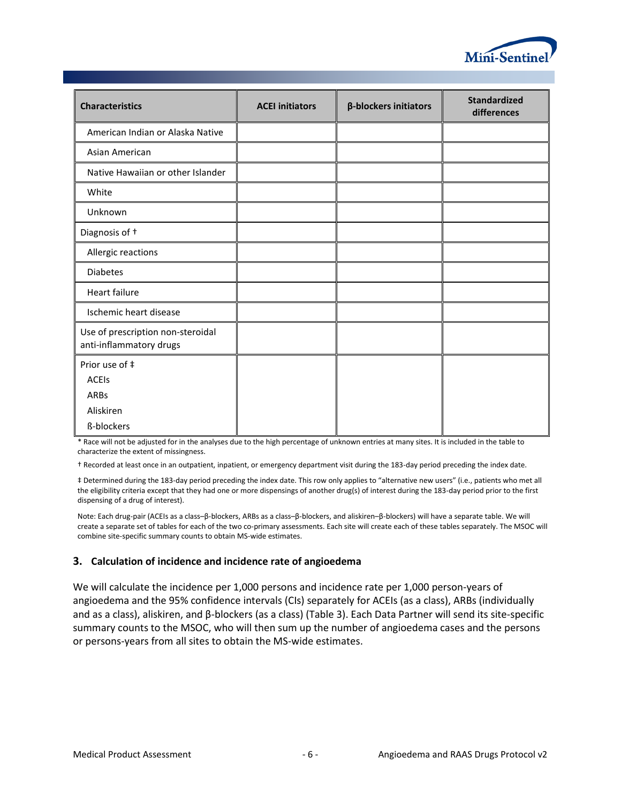

| <b>Characteristics</b>                                       | <b>ACEI initiators</b> | β-blockers initiators | <b>Standardized</b><br>differences |
|--------------------------------------------------------------|------------------------|-----------------------|------------------------------------|
| American Indian or Alaska Native                             |                        |                       |                                    |
| Asian American                                               |                        |                       |                                    |
| Native Hawaiian or other Islander                            |                        |                       |                                    |
| White                                                        |                        |                       |                                    |
| Unknown                                                      |                        |                       |                                    |
| Diagnosis of <sup>+</sup>                                    |                        |                       |                                    |
| Allergic reactions                                           |                        |                       |                                    |
| <b>Diabetes</b>                                              |                        |                       |                                    |
| <b>Heart failure</b>                                         |                        |                       |                                    |
| Ischemic heart disease                                       |                        |                       |                                    |
| Use of prescription non-steroidal<br>anti-inflammatory drugs |                        |                       |                                    |
| Prior use of ‡<br><b>ACEIS</b>                               |                        |                       |                                    |
| ARBs                                                         |                        |                       |                                    |
| Aliskiren<br>ß-blockers                                      |                        |                       |                                    |

\* Race will not be adjusted for in the analyses due to the high percentage of unknown entries at many sites. It is included in the table to characterize the extent of missingness.

† Recorded at least once in an outpatient, inpatient, or emergency department visit during the 183-day period preceding the index date.

‡ Determined during the 183-day period preceding the index date. This row only applies to "alternative new users" (i.e., patients who met all the eligibility criteria except that they had one or more dispensings of another drug(s) of interest during the 183-day period prior to the first dispensing of a drug of interest).

Note: Each drug-pair (ACEIs as a class–β-blockers, ARBs as a class–β-blockers, and aliskiren–β-blockers) will have a separate table. We will create a separate set of tables for each of the two co-primary assessments. Each site will create each of these tables separately. The MSOC will combine site-specific summary counts to obtain MS-wide estimates.

#### <span id="page-8-0"></span>**3. Calculation of incidence and incidence rate of angioedema**

We will calculate the incidence per 1,000 persons and incidence rate per 1,000 person-years of angioedema and the 95% confidence intervals (CIs) separately for ACEIs (as a class), ARBs (individually and as a class), aliskiren, and β-blockers (as a class) (Table 3). Each Data Partner will send its site-specific summary counts to the MSOC, who will then sum up the number of angioedema cases and the persons or persons-years from all sites to obtain the MS-wide estimates.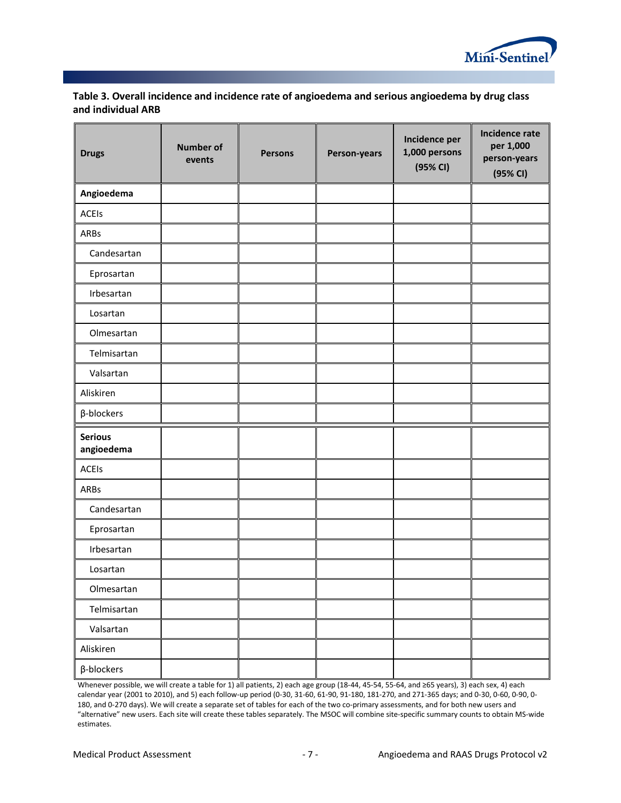

#### **Table 3. Overall incidence and incidence rate of angioedema and serious angioedema by drug class and individual ARB**

| <b>Drugs</b>                 | <b>Number of</b><br>events | <b>Persons</b> | Person-years | Incidence per<br>1,000 persons<br>(95% CI) | Incidence rate<br>per 1,000<br>person-years<br>(95% CI) |
|------------------------------|----------------------------|----------------|--------------|--------------------------------------------|---------------------------------------------------------|
| Angioedema                   |                            |                |              |                                            |                                                         |
| ACEIs                        |                            |                |              |                                            |                                                         |
| ARBs                         |                            |                |              |                                            |                                                         |
| Candesartan                  |                            |                |              |                                            |                                                         |
| Eprosartan                   |                            |                |              |                                            |                                                         |
| Irbesartan                   |                            |                |              |                                            |                                                         |
| Losartan                     |                            |                |              |                                            |                                                         |
| Olmesartan                   |                            |                |              |                                            |                                                         |
| Telmisartan                  |                            |                |              |                                            |                                                         |
| Valsartan                    |                            |                |              |                                            |                                                         |
| Aliskiren                    |                            |                |              |                                            |                                                         |
| $\beta$ -blockers            |                            |                |              |                                            |                                                         |
| <b>Serious</b><br>angioedema |                            |                |              |                                            |                                                         |
| ACEIs                        |                            |                |              |                                            |                                                         |
| ARBs                         |                            |                |              |                                            |                                                         |
| Candesartan                  |                            |                |              |                                            |                                                         |
| Eprosartan                   |                            |                |              |                                            |                                                         |
| Irbesartan                   |                            |                |              |                                            |                                                         |
| Losartan                     |                            |                |              |                                            |                                                         |
| Olmesartan                   |                            |                |              |                                            |                                                         |
| Telmisartan                  |                            |                |              |                                            |                                                         |
| Valsartan                    |                            |                |              |                                            |                                                         |
| Aliskiren                    |                            |                |              |                                            |                                                         |
| $\beta$ -blockers            |                            |                |              |                                            |                                                         |

Whenever possible, we will create a table for 1) all patients, 2) each age group (18-44, 45-54, 55-64, and ≥65 years), 3) each sex, 4) each calendar year (2001 to 2010), and 5) each follow-up period (0-30, 31-60, 61-90, 91-180, 181-270, and 271-365 days; and 0-30, 0-60, 0-90, 0- 180, and 0-270 days). We will create a separate set of tables for each of the two co-primary assessments, and for both new users and "alternative" new users. Each site will create these tables separately. The MSOC will combine site-specific summary counts to obtain MS-wide estimates.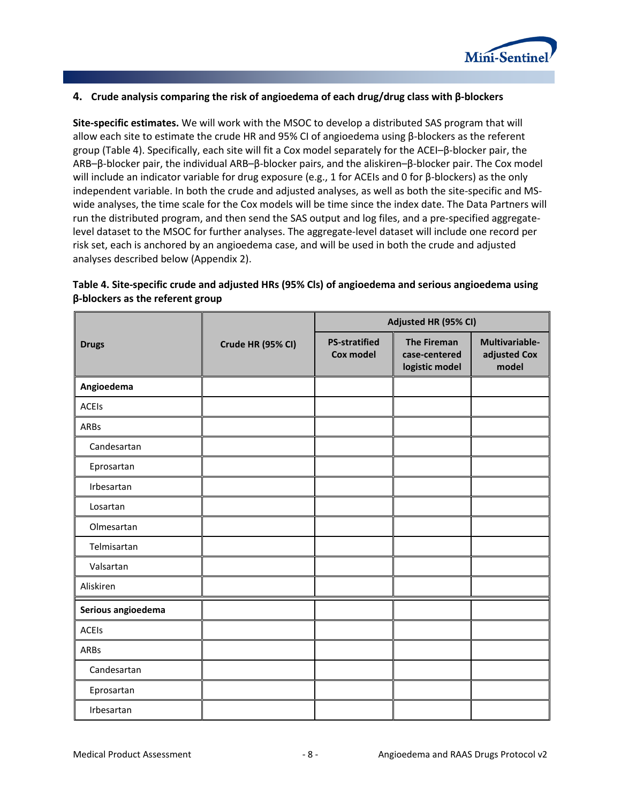

#### <span id="page-10-0"></span>**4. Crude analysis comparing the risk of angioedema of each drug/drug class with β-blockers**

**Site-specific estimates.** We will work with the MSOC to develop a distributed SAS program that will allow each site to estimate the crude HR and 95% CI of angioedema using β-blockers as the referent group (Table 4). Specifically, each site will fit a Cox model separately for the ACEI–β-blocker pair, the ARB–β-blocker pair, the individual ARB–β-blocker pairs, and the aliskiren–β-blocker pair. The Cox model will include an indicator variable for drug exposure (e.g., 1 for ACEIs and 0 for β-blockers) as the only independent variable. In both the crude and adjusted analyses, as well as both the site-specific and MSwide analyses, the time scale for the Cox models will be time since the index date. The Data Partners will run the distributed program, and then send the SAS output and log files, and a pre-specified aggregatelevel dataset to the MSOC for further analyses. The aggregate-level dataset will include one record per risk set, each is anchored by an angioedema case, and will be used in both the crude and adjusted analyses described below (Appendix 2).

|                    |                   | Adjusted HR (95% CI)              |                                                       |                                         |  |  |
|--------------------|-------------------|-----------------------------------|-------------------------------------------------------|-----------------------------------------|--|--|
| <b>Drugs</b>       | Crude HR (95% CI) | <b>PS-stratified</b><br>Cox model | <b>The Fireman</b><br>case-centered<br>logistic model | Multivariable-<br>adjusted Cox<br>model |  |  |
| Angioedema         |                   |                                   |                                                       |                                         |  |  |
| <b>ACEIs</b>       |                   |                                   |                                                       |                                         |  |  |
| ARBs               |                   |                                   |                                                       |                                         |  |  |
| Candesartan        |                   |                                   |                                                       |                                         |  |  |
| Eprosartan         |                   |                                   |                                                       |                                         |  |  |
| Irbesartan         |                   |                                   |                                                       |                                         |  |  |
| Losartan           |                   |                                   |                                                       |                                         |  |  |
| Olmesartan         |                   |                                   |                                                       |                                         |  |  |
| Telmisartan        |                   |                                   |                                                       |                                         |  |  |
| Valsartan          |                   |                                   |                                                       |                                         |  |  |
| Aliskiren          |                   |                                   |                                                       |                                         |  |  |
| Serious angioedema |                   |                                   |                                                       |                                         |  |  |
| <b>ACEIs</b>       |                   |                                   |                                                       |                                         |  |  |
| ARBs               |                   |                                   |                                                       |                                         |  |  |
| Candesartan        |                   |                                   |                                                       |                                         |  |  |
| Eprosartan         |                   |                                   |                                                       |                                         |  |  |
| Irbesartan         |                   |                                   |                                                       |                                         |  |  |

#### **Table 4. Site-specific crude and adjusted HRs (95% Cls) of angioedema and serious angioedema using β-blockers as the referent group**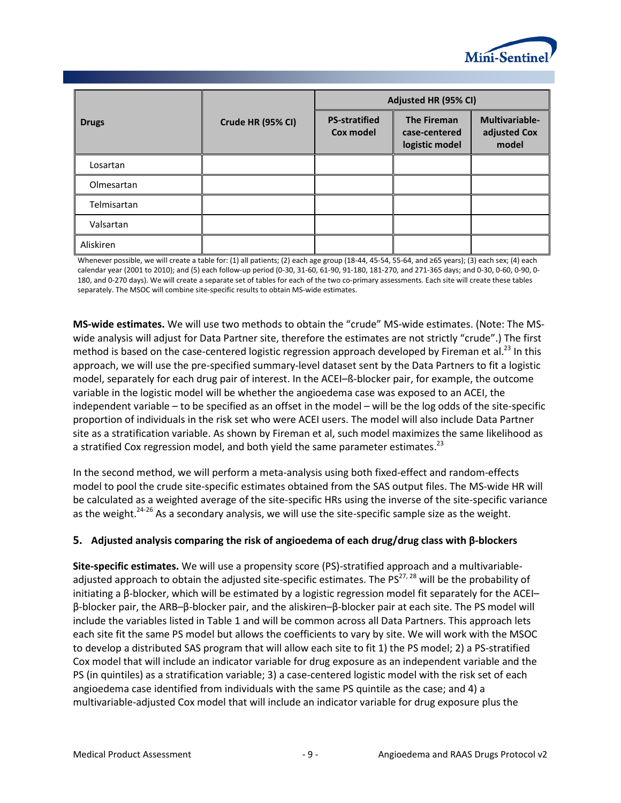

|              |                   | Adjusted HR (95% CI)              |                                                       |                                         |  |  |
|--------------|-------------------|-----------------------------------|-------------------------------------------------------|-----------------------------------------|--|--|
| <b>Drugs</b> | Crude HR (95% CI) | <b>PS-stratified</b><br>Cox model | <b>The Fireman</b><br>case-centered<br>logistic model | Multivariable-<br>adjusted Cox<br>model |  |  |
| Losartan     |                   |                                   |                                                       |                                         |  |  |
| Olmesartan   |                   |                                   |                                                       |                                         |  |  |
| Telmisartan  |                   |                                   |                                                       |                                         |  |  |
| Valsartan    |                   |                                   |                                                       |                                         |  |  |
| Aliskiren    |                   |                                   |                                                       |                                         |  |  |

Whenever possible, we will create a table for: (1) all patients; (2) each age group (18-44, 45-54, 55-64, and ≥65 years); (3) each sex; (4) each calendar year (2001 to 2010); and (5) each follow-up period (0-30, 31-60, 61-90, 91-180, 181-270, and 271-365 days; and 0-30, 0-60, 0-90, 0- 180, and 0-270 days). We will create a separate set of tables for each of the two co-primary assessments. Each site will create these tables separately. The MSOC will combine site-specific results to obtain MS-wide estimates.

**MS-wide estimates.** We will use two methods to obtain the "crude" MS-wide estimates. (Note: The MSwide analysis will adjust for Data Partner site, therefore the estimates are not strictly "crude".) The first method is based on the case-centered logistic regression approach developed by Fireman et al.<sup>23</sup> In this approach, we will use the pre-specified summary-level dataset sent by the Data Partners to fit a logistic model, separately for each drug pair of interest. In the ACEI–ß-blocker pair, for example, the outcome variable in the logistic model will be whether the angioedema case was exposed to an ACEI, the independent variable – to be specified as an offset in the model – will be the log odds of the site-specific proportion of individuals in the risk set who were ACEI users. The model will also include Data Partner site as a stratification variable. As shown by Fireman et al, such model maximizes the same likelihood as a stratified Cox regression model, and both yield the same parameter estimates.<sup>23</sup>

In the second method, we will perform a meta-analysis using both fixed-effect and random-effects model to pool the crude site-specific estimates obtained from the SAS output files. The MS-wide HR will be calculated as a weighted average of the site-specific HRs using the inverse of the site-specific variance as the weight.<sup>24-26</sup> As a secondary analysis, we will use the site-specific sample size as the weight.

#### <span id="page-11-0"></span>**5. Adjusted analysis comparing the risk of angioedema of each drug/drug class with β-blockers**

**Site-specific estimates.** We will use a propensity score (PS)-stratified approach and a multivariableadjusted approach to obtain the adjusted site-specific estimates. The  $PS^{27, 28}$  will be the probability of initiating a β-blocker, which will be estimated by a logistic regression model fit separately for the ACEI– β-blocker pair, the ARB–β-blocker pair, and the aliskiren–β-blocker pair at each site. The PS model will include the variables listed in Table 1 and will be common across all Data Partners. This approach lets each site fit the same PS model but allows the coefficients to vary by site. We will work with the MSOC to develop a distributed SAS program that will allow each site to fit 1) the PS model; 2) a PS-stratified Cox model that will include an indicator variable for drug exposure as an independent variable and the PS (in quintiles) as a stratification variable; 3) a case-centered logistic model with the risk set of each angioedema case identified from individuals with the same PS quintile as the case; and 4) a multivariable-adjusted Cox model that will include an indicator variable for drug exposure plus the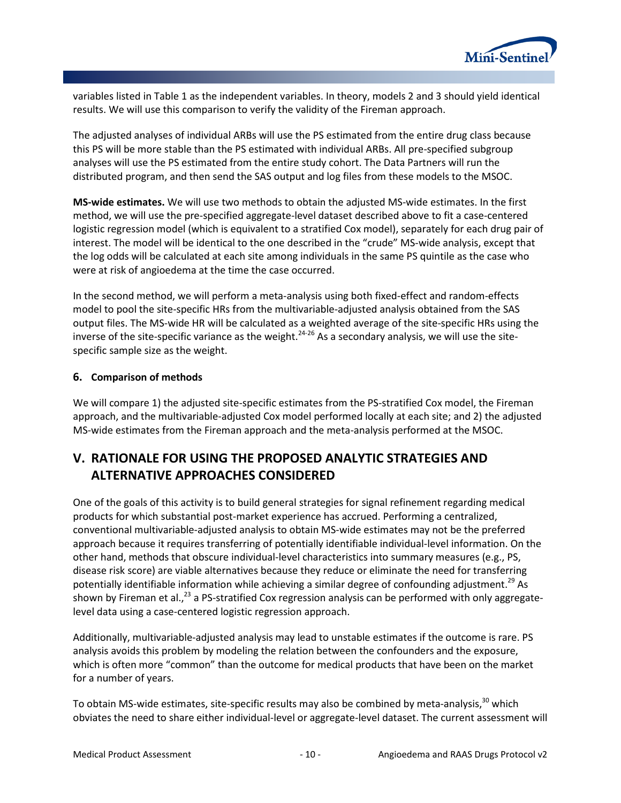

variables listed in Table 1 as the independent variables. In theory, models 2 and 3 should yield identical results. We will use this comparison to verify the validity of the Fireman approach.

The adjusted analyses of individual ARBs will use the PS estimated from the entire drug class because this PS will be more stable than the PS estimated with individual ARBs. All pre-specified subgroup analyses will use the PS estimated from the entire study cohort. The Data Partners will run the distributed program, and then send the SAS output and log files from these models to the MSOC.

**MS-wide estimates.** We will use two methods to obtain the adjusted MS-wide estimates. In the first method, we will use the pre-specified aggregate-level dataset described above to fit a case-centered logistic regression model (which is equivalent to a stratified Cox model), separately for each drug pair of interest. The model will be identical to the one described in the "crude" MS-wide analysis, except that the log odds will be calculated at each site among individuals in the same PS quintile as the case who were at risk of angioedema at the time the case occurred.

In the second method, we will perform a meta-analysis using both fixed-effect and random-effects model to pool the site-specific HRs from the multivariable-adjusted analysis obtained from the SAS output files. The MS-wide HR will be calculated as a weighted average of the site-specific HRs using the inverse of the site-specific variance as the weight.<sup>24-26</sup> As a secondary analysis, we will use the sitespecific sample size as the weight.

#### <span id="page-12-0"></span>**6. Comparison of methods**

We will compare 1) the adjusted site-specific estimates from the PS-stratified Cox model, the Fireman approach, and the multivariable-adjusted Cox model performed locally at each site; and 2) the adjusted MS-wide estimates from the Fireman approach and the meta-analysis performed at the MSOC.

# <span id="page-12-1"></span>**V. RATIONALE FOR USING THE PROPOSED ANALYTIC STRATEGIES AND ALTERNATIVE APPROACHES CONSIDERED**

One of the goals of this activity is to build general strategies for signal refinement regarding medical products for which substantial post-market experience has accrued. Performing a centralized, conventional multivariable-adjusted analysis to obtain MS-wide estimates may not be the preferred approach because it requires transferring of potentially identifiable individual-level information. On the other hand, methods that obscure individual-level characteristics into summary measures (e.g., PS, disease risk score) are viable alternatives because they reduce or eliminate the need for transferring potentially identifiable information while achieving a similar degree of confounding adjustment.<sup>29</sup> As shown by Fireman et al.,<sup>23</sup> a PS-stratified Cox regression analysis can be performed with only aggregatelevel data using a case-centered logistic regression approach.

Additionally, multivariable-adjusted analysis may lead to unstable estimates if the outcome is rare. PS analysis avoids this problem by modeling the relation between the confounders and the exposure, which is often more "common" than the outcome for medical products that have been on the market for a number of years.

To obtain MS-wide estimates, site-specific results may also be combined by meta-analysis,<sup>30</sup> which obviates the need to share either individual-level or aggregate-level dataset. The current assessment will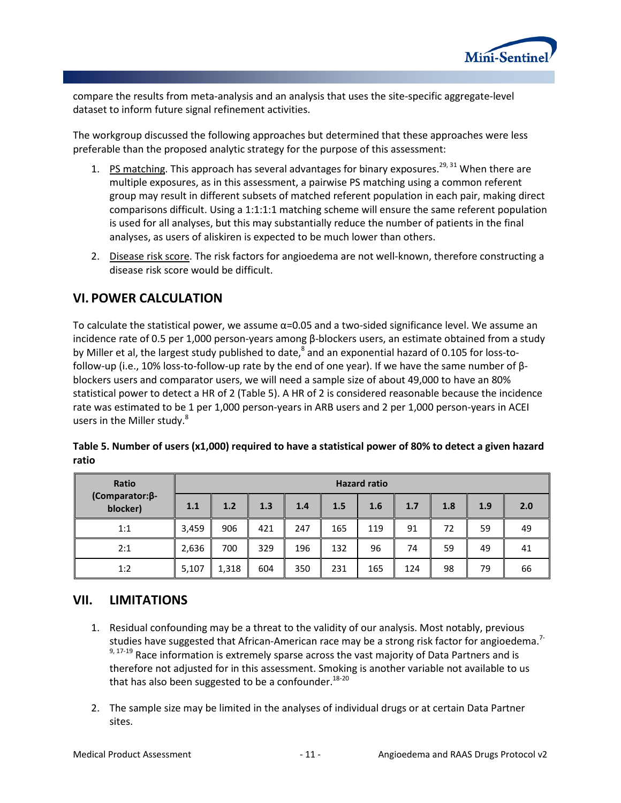

compare the results from meta-analysis and an analysis that uses the site-specific aggregate-level dataset to inform future signal refinement activities.

The workgroup discussed the following approaches but determined that these approaches were less preferable than the proposed analytic strategy for the purpose of this assessment:

- 1. PS matching. This approach has several advantages for binary exposures.<sup>29, 31</sup> When there are multiple exposures, as in this assessment, a pairwise PS matching using a common referent group may result in different subsets of matched referent population in each pair, making direct comparisons difficult. Using a 1:1:1:1 matching scheme will ensure the same referent population is used for all analyses, but this may substantially reduce the number of patients in the final analyses, as users of aliskiren is expected to be much lower than others.
- 2. Disease risk score. The risk factors for angioedema are not well-known, therefore constructing a disease risk score would be difficult.

## <span id="page-13-0"></span>**VI. POWER CALCULATION**

To calculate the statistical power, we assume α=0.05 and a two-sided significance level. We assume an incidence rate of 0.5 per 1,000 person-years among β-blockers users, an estimate obtained from a study by Miller et al, the largest study published to date, $^8$  and an exponential hazard of 0.105 for loss-tofollow-up (i.e., 10% loss-to-follow-up rate by the end of one year). If we have the same number of βblockers users and comparator users, we will need a sample size of about 49,000 to have an 80% statistical power to detect a HR of 2 (Table 5). A HR of 2 is considered reasonable because the incidence rate was estimated to be 1 per 1,000 person-years in ARB users and 2 per 1,000 person-years in ACEI users in the Miller study.<sup>8</sup>

| Ratio                              | <b>Hazard ratio</b> |       |     |     |     |     |     |     |     |     |
|------------------------------------|---------------------|-------|-----|-----|-----|-----|-----|-----|-----|-----|
| $(Comparison: \beta$ -<br>blocker) | 1.1                 | 1.2   | 1.3 | 1.4 | 1.5 | 1.6 | 1.7 | 1.8 | 1.9 | 2.0 |
| 1:1                                | 3,459               | 906   | 421 | 247 | 165 | 119 | 91  | 72  | 59  | 49  |
| 2:1                                | 2,636               | 700   | 329 | 196 | 132 | 96  | 74  | 59  | 49  | 41  |
| 1:2                                | 5,107               | 1,318 | 604 | 350 | 231 | 165 | 124 | 98  | 79  | 66  |

| Table 5. Number of users (x1,000) required to have a statistical power of 80% to detect a given hazard |  |
|--------------------------------------------------------------------------------------------------------|--|
| ratio                                                                                                  |  |

### <span id="page-13-1"></span>**VII. LIMITATIONS**

- 1. Residual confounding may be a threat to the validity of our analysis. Most notably, previous studies have suggested that African-American race may be a strong risk factor for angioedema.<sup>7-</sup>  $9,17-19$  Race information is extremely sparse across the vast majority of Data Partners and is therefore not adjusted for in this assessment. Smoking is another variable not available to us that has also been suggested to be a confounder.<sup>18-20</sup>
- 2. The sample size may be limited in the analyses of individual drugs or at certain Data Partner sites.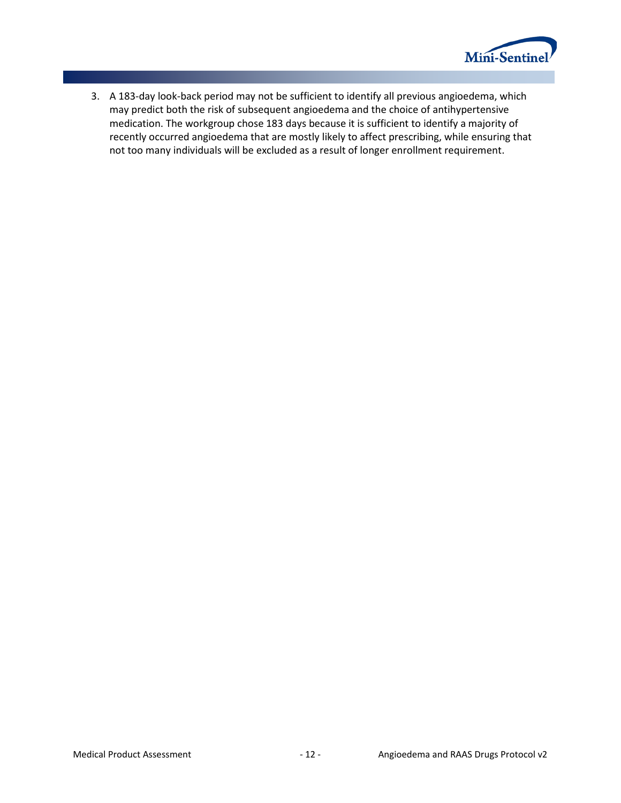

3. A 183-day look-back period may not be sufficient to identify all previous angioedema, which may predict both the risk of subsequent angioedema and the choice of antihypertensive medication. The workgroup chose 183 days because it is sufficient to identify a majority of recently occurred angioedema that are mostly likely to affect prescribing, while ensuring that not too many individuals will be excluded as a result of longer enrollment requirement.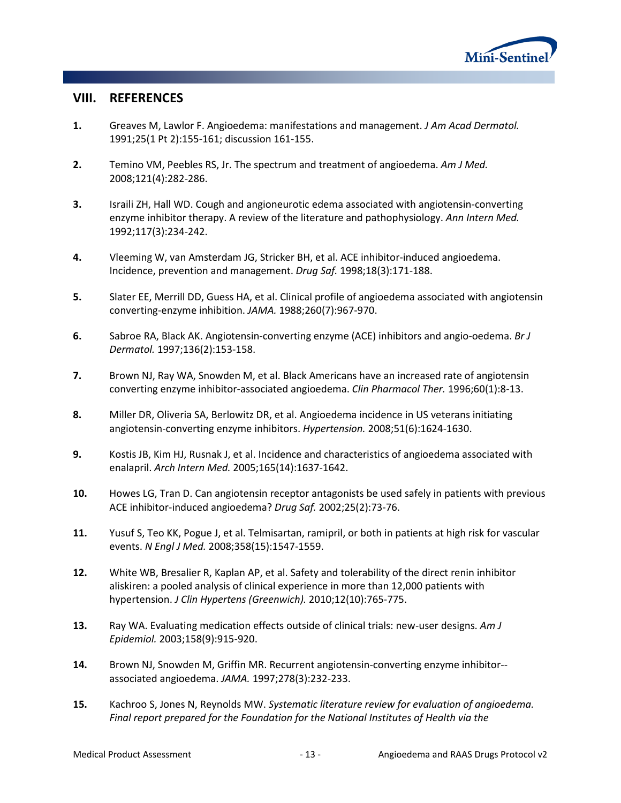

### <span id="page-15-0"></span>**VIII. REFERENCES**

- **1.** Greaves M, Lawlor F. Angioedema: manifestations and management. *J Am Acad Dermatol.*  1991;25(1 Pt 2):155-161; discussion 161-155.
- **2.** Temino VM, Peebles RS, Jr. The spectrum and treatment of angioedema. *Am J Med.*  2008;121(4):282-286.
- **3.** Israili ZH, Hall WD. Cough and angioneurotic edema associated with angiotensin-converting enzyme inhibitor therapy. A review of the literature and pathophysiology. *Ann Intern Med.*  1992;117(3):234-242.
- **4.** Vleeming W, van Amsterdam JG, Stricker BH, et al. ACE inhibitor-induced angioedema. Incidence, prevention and management. *Drug Saf.* 1998;18(3):171-188.
- **5.** Slater EE, Merrill DD, Guess HA, et al. Clinical profile of angioedema associated with angiotensin converting-enzyme inhibition. *JAMA.* 1988;260(7):967-970.
- **6.** Sabroe RA, Black AK. Angiotensin-converting enzyme (ACE) inhibitors and angio-oedema. *Br J Dermatol.* 1997;136(2):153-158.
- **7.** Brown NJ, Ray WA, Snowden M, et al. Black Americans have an increased rate of angiotensin converting enzyme inhibitor-associated angioedema. *Clin Pharmacol Ther.* 1996;60(1):8-13.
- **8.** Miller DR, Oliveria SA, Berlowitz DR, et al. Angioedema incidence in US veterans initiating angiotensin-converting enzyme inhibitors. *Hypertension.* 2008;51(6):1624-1630.
- **9.** Kostis JB, Kim HJ, Rusnak J, et al. Incidence and characteristics of angioedema associated with enalapril. *Arch Intern Med.* 2005;165(14):1637-1642.
- **10.** Howes LG, Tran D. Can angiotensin receptor antagonists be used safely in patients with previous ACE inhibitor-induced angioedema? *Drug Saf.* 2002;25(2):73-76.
- **11.** Yusuf S, Teo KK, Pogue J, et al. Telmisartan, ramipril, or both in patients at high risk for vascular events. *N Engl J Med.* 2008;358(15):1547-1559.
- **12.** White WB, Bresalier R, Kaplan AP, et al. Safety and tolerability of the direct renin inhibitor aliskiren: a pooled analysis of clinical experience in more than 12,000 patients with hypertension. *J Clin Hypertens (Greenwich).* 2010;12(10):765-775.
- **13.** Ray WA. Evaluating medication effects outside of clinical trials: new-user designs. *Am J Epidemiol.* 2003;158(9):915-920.
- **14.** Brown NJ, Snowden M, Griffin MR. Recurrent angiotensin-converting enzyme inhibitor- associated angioedema. *JAMA.* 1997;278(3):232-233.
- **15.** Kachroo S, Jones N, Reynolds MW. *Systematic literature review for evaluation of angioedema. Final report prepared for the Foundation for the National Institutes of Health via the*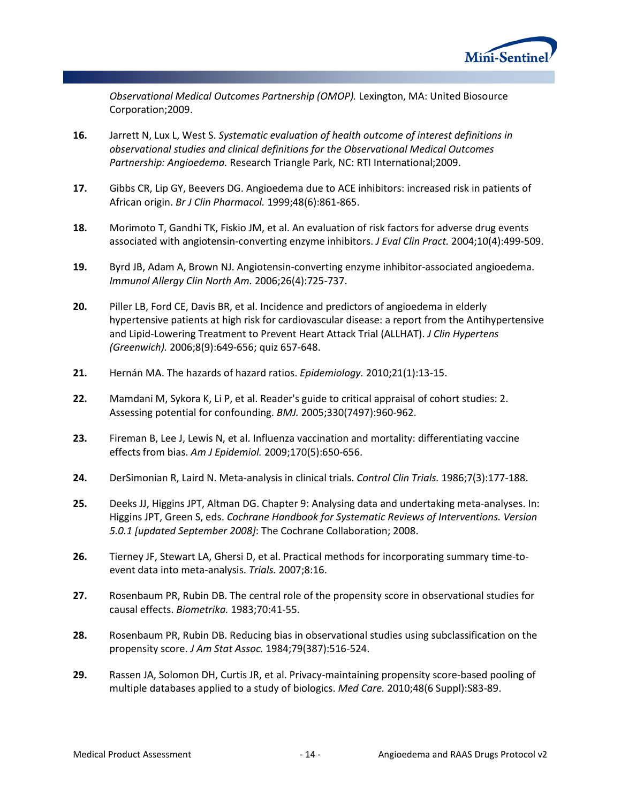

*Observational Medical Outcomes Partnership (OMOP).* Lexington, MA: United Biosource Corporation;2009.

- **16.** Jarrett N, Lux L, West S. *Systematic evaluation of health outcome of interest definitions in observational studies and clinical definitions for the Observational Medical Outcomes Partnership: Angioedema.* Research Triangle Park, NC: RTI International;2009.
- **17.** Gibbs CR, Lip GY, Beevers DG. Angioedema due to ACE inhibitors: increased risk in patients of African origin. *Br J Clin Pharmacol.* 1999;48(6):861-865.
- **18.** Morimoto T, Gandhi TK, Fiskio JM, et al. An evaluation of risk factors for adverse drug events associated with angiotensin-converting enzyme inhibitors. *J Eval Clin Pract.* 2004;10(4):499-509.
- **19.** Byrd JB, Adam A, Brown NJ. Angiotensin-converting enzyme inhibitor-associated angioedema. *Immunol Allergy Clin North Am.* 2006;26(4):725-737.
- **20.** Piller LB, Ford CE, Davis BR, et al. Incidence and predictors of angioedema in elderly hypertensive patients at high risk for cardiovascular disease: a report from the Antihypertensive and Lipid-Lowering Treatment to Prevent Heart Attack Trial (ALLHAT). *J Clin Hypertens (Greenwich).* 2006;8(9):649-656; quiz 657-648.
- **21.** Hernán MA. The hazards of hazard ratios. *Epidemiology.* 2010;21(1):13-15.
- **22.** Mamdani M, Sykora K, Li P, et al. Reader's guide to critical appraisal of cohort studies: 2. Assessing potential for confounding. *BMJ.* 2005;330(7497):960-962.
- **23.** Fireman B, Lee J, Lewis N, et al. Influenza vaccination and mortality: differentiating vaccine effects from bias. *Am J Epidemiol.* 2009;170(5):650-656.
- **24.** DerSimonian R, Laird N. Meta-analysis in clinical trials. *Control Clin Trials.* 1986;7(3):177-188.
- **25.** Deeks JJ, Higgins JPT, Altman DG. Chapter 9: Analysing data and undertaking meta-analyses. In: Higgins JPT, Green S, eds. *Cochrane Handbook for Systematic Reviews of Interventions. Version 5.0.1 [updated September 2008]*: The Cochrane Collaboration; 2008.
- **26.** Tierney JF, Stewart LA, Ghersi D, et al. Practical methods for incorporating summary time-toevent data into meta-analysis. *Trials.* 2007;8:16.
- **27.** Rosenbaum PR, Rubin DB. The central role of the propensity score in observational studies for causal effects. *Biometrika.* 1983;70:41-55.
- **28.** Rosenbaum PR, Rubin DB. Reducing bias in observational studies using subclassification on the propensity score. *J Am Stat Assoc.* 1984;79(387):516-524.
- **29.** Rassen JA, Solomon DH, Curtis JR, et al. Privacy-maintaining propensity score-based pooling of multiple databases applied to a study of biologics. *Med Care.* 2010;48(6 Suppl):S83-89.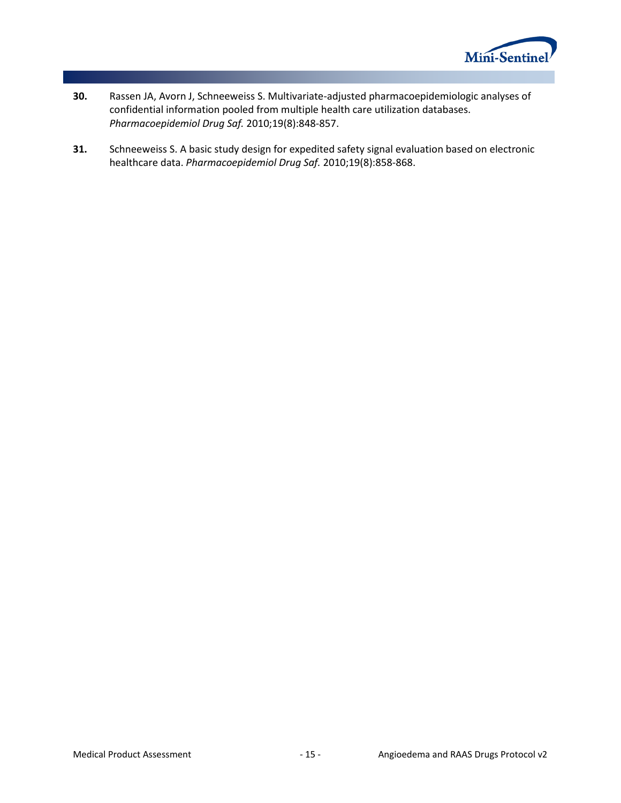

- **30.** Rassen JA, Avorn J, Schneeweiss S. Multivariate-adjusted pharmacoepidemiologic analyses of confidential information pooled from multiple health care utilization databases. *Pharmacoepidemiol Drug Saf.* 2010;19(8):848-857.
- **31.** Schneeweiss S. A basic study design for expedited safety signal evaluation based on electronic healthcare data. *Pharmacoepidemiol Drug Saf.* 2010;19(8):858-868.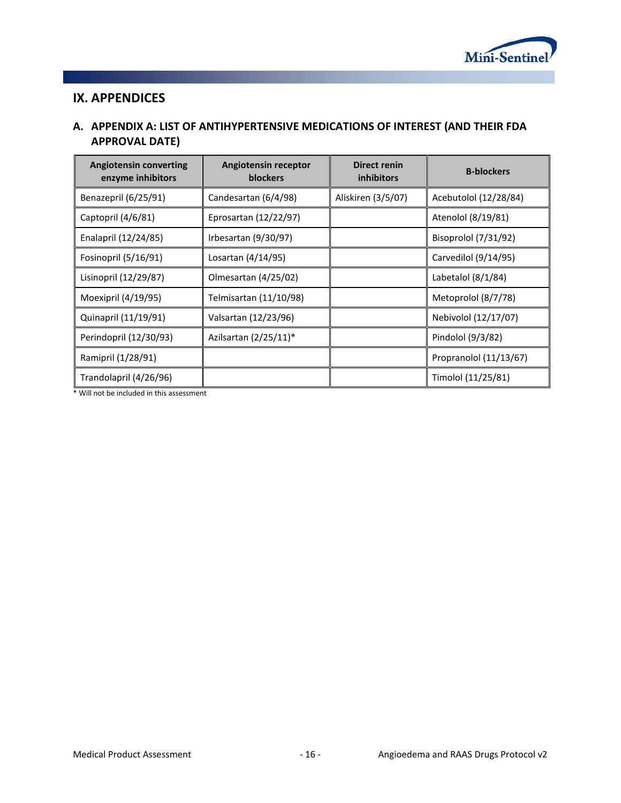

## <span id="page-18-0"></span>**IX. APPENDICES**

### <span id="page-18-1"></span>**A. APPENDIX A: LIST OF ANTIHYPERTENSIVE MEDICATIONS OF INTEREST (AND THEIR FDA APPROVAL DATE)**

| <b>Angiotensin converting</b><br>enzyme inhibitors | Angiotensin receptor<br><b>blockers</b> | Direct renin<br><i>inhibitors</i> | <b>B-blockers</b>      |
|----------------------------------------------------|-----------------------------------------|-----------------------------------|------------------------|
| Benazepril (6/25/91)                               | Candesartan (6/4/98)                    | Aliskiren (3/5/07)                | Acebutolol (12/28/84)  |
| Captopril (4/6/81)                                 | Eprosartan (12/22/97)                   |                                   | Atenolol (8/19/81)     |
| Enalapril (12/24/85)                               | Irbesartan (9/30/97)                    |                                   | Bisoprolol (7/31/92)   |
| Fosinopril (5/16/91)                               | Losartan (4/14/95)                      |                                   | Carvedilol (9/14/95)   |
| Lisinopril (12/29/87)                              | Olmesartan (4/25/02)                    |                                   | Labetalol (8/1/84)     |
| Moexipril (4/19/95)                                | Telmisartan (11/10/98)                  |                                   | Metoprolol (8/7/78)    |
| Quinapril (11/19/91)                               | Valsartan (12/23/96)                    |                                   | Nebivolol (12/17/07)   |
| Perindopril (12/30/93)                             | Azilsartan $(2/25/11)^*$                |                                   | Pindolol (9/3/82)      |
| Ramipril (1/28/91)                                 |                                         |                                   | Propranolol (11/13/67) |
| Trandolapril (4/26/96)                             |                                         |                                   | Timolol (11/25/81)     |

\* Will not be included in this assessment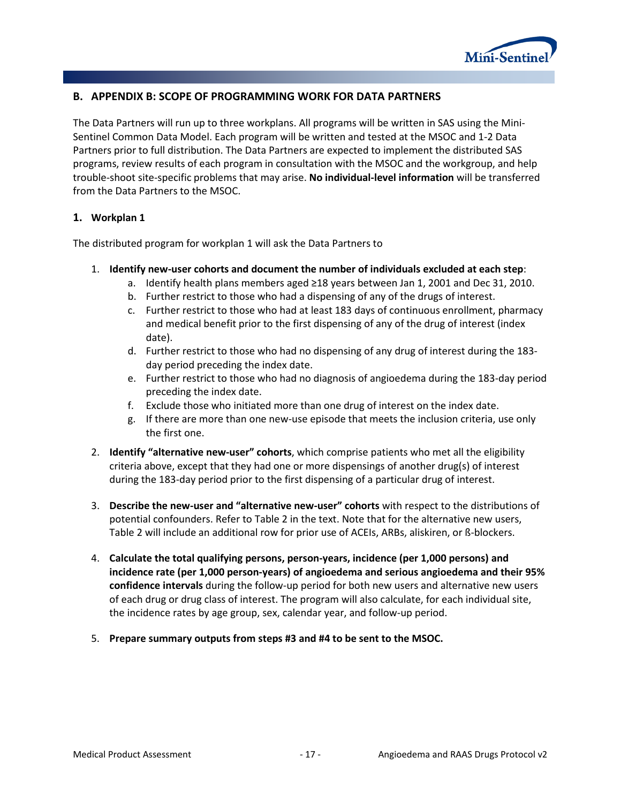

#### <span id="page-19-0"></span>**B. APPENDIX B: SCOPE OF PROGRAMMING WORK FOR DATA PARTNERS**

The Data Partners will run up to three workplans. All programs will be written in SAS using the Mini-Sentinel Common Data Model. Each program will be written and tested at the MSOC and 1-2 Data Partners prior to full distribution. The Data Partners are expected to implement the distributed SAS programs, review results of each program in consultation with the MSOC and the workgroup, and help trouble-shoot site-specific problems that may arise. **No individual-level information** will be transferred from the Data Partners to the MSOC.

#### <span id="page-19-1"></span>**1. Workplan 1**

The distributed program for workplan 1 will ask the Data Partners to

- 1. **Identify new-user cohorts and document the number of individuals excluded at each step**:
	- a. Identify health plans members aged ≥18 years between Jan 1, 2001 and Dec 31, 2010.
	- b. Further restrict to those who had a dispensing of any of the drugs of interest.
	- c. Further restrict to those who had at least 183 days of continuous enrollment, pharmacy and medical benefit prior to the first dispensing of any of the drug of interest (index date).
	- d. Further restrict to those who had no dispensing of any drug of interest during the 183 day period preceding the index date.
	- e. Further restrict to those who had no diagnosis of angioedema during the 183-day period preceding the index date.
	- f. Exclude those who initiated more than one drug of interest on the index date.
	- g. If there are more than one new-use episode that meets the inclusion criteria, use only the first one.
- 2. **Identify "alternative new-user" cohorts**, which comprise patients who met all the eligibility criteria above, except that they had one or more dispensings of another drug(s) of interest during the 183-day period prior to the first dispensing of a particular drug of interest.
- 3. **Describe the new-user and "alternative new-user" cohorts** with respect to the distributions of potential confounders. Refer to Table 2 in the text. Note that for the alternative new users, Table 2 will include an additional row for prior use of ACEIs, ARBs, aliskiren, or ß-blockers.
- 4. **Calculate the total qualifying persons, person-years, incidence (per 1,000 persons) and incidence rate (per 1,000 person-years) of angioedema and serious angioedema and their 95% confidence intervals** during the follow-up period for both new users and alternative new users of each drug or drug class of interest. The program will also calculate, for each individual site, the incidence rates by age group, sex, calendar year, and follow-up period.
- 5. **Prepare summary outputs from steps #3 and #4 to be sent to the MSOC.**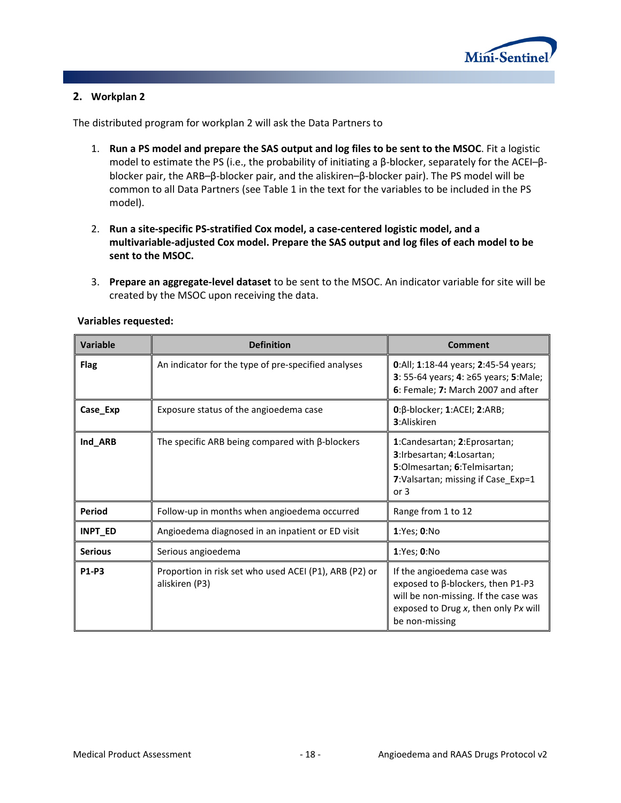

#### <span id="page-20-0"></span>**2. Workplan 2**

The distributed program for workplan 2 will ask the Data Partners to

- 1. **Run a PS model and prepare the SAS output and log files to be sent to the MSOC**. Fit a logistic model to estimate the PS (i.e., the probability of initiating a β-blocker, separately for the ACEI–βblocker pair, the ARB–β-blocker pair, and the aliskiren–β-blocker pair). The PS model will be common to all Data Partners (see Table 1 in the text for the variables to be included in the PS model).
- 2. **Run a site-specific PS-stratified Cox model, a case-centered logistic model, and a multivariable-adjusted Cox model. Prepare the SAS output and log files of each model to be sent to the MSOC.**
- 3. **Prepare an aggregate-level dataset** to be sent to the MSOC. An indicator variable for site will be created by the MSOC upon receiving the data.

| <b>Variable</b> | <b>Definition</b>                                                        | Comment                                                                                                                                                           |
|-----------------|--------------------------------------------------------------------------|-------------------------------------------------------------------------------------------------------------------------------------------------------------------|
| <b>Flag</b>     | An indicator for the type of pre-specified analyses                      | 0:All; 1:18-44 years; 2:45-54 years;<br>3: 55-64 years; 4: ≥65 years; 5:Male;<br>6: Female; 7: March 2007 and after                                               |
| Case_Exp        | Exposure status of the angioedema case                                   | $0:\beta$ -blocker; 1:ACEI; 2:ARB;<br><b>3:</b> Aliskiren                                                                                                         |
| Ind_ARB         | The specific ARB being compared with $\beta$ -blockers                   | 1:Candesartan; 2:Eprosartan;<br>3:Irbesartan; 4:Losartan;<br>5: Olmesartan; 6: Telmisartan;<br>7: Valsartan; missing if Case_Exp=1<br>or 3                        |
| Period          | Follow-up in months when angioedema occurred                             | Range from 1 to 12                                                                                                                                                |
| <b>INPT_ED</b>  | Angioedema diagnosed in an inpatient or ED visit                         | 1:Yes; 0:No                                                                                                                                                       |
| <b>Serious</b>  | Serious angioedema                                                       | 1:Yes; 0:No                                                                                                                                                       |
| P1-P3           | Proportion in risk set who used ACEI (P1), ARB (P2) or<br>aliskiren (P3) | If the angioedema case was<br>exposed to β-blockers, then P1-P3<br>will be non-missing. If the case was<br>exposed to Drug x, then only Px will<br>be non-missing |

#### **Variables requested:**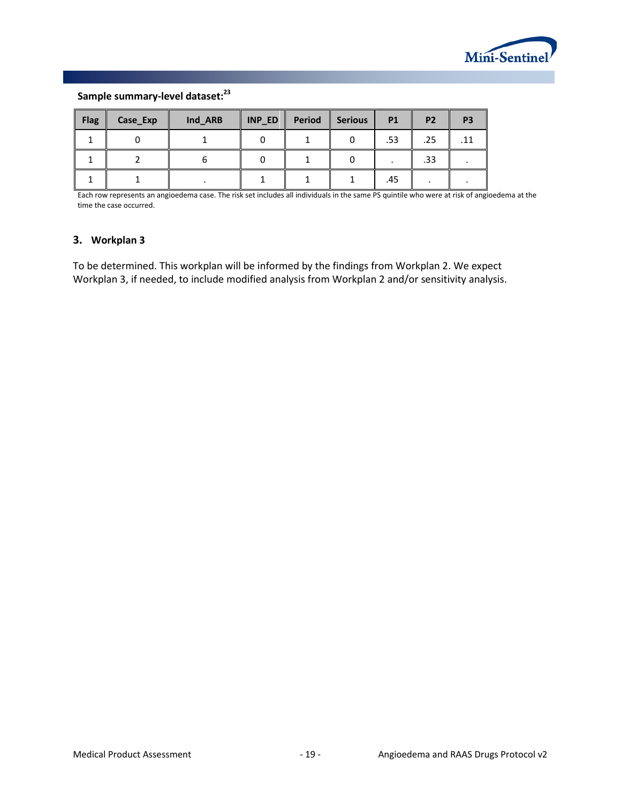

### **Sample summary-level dataset:23**

| <b>Flag</b> | Case_Exp | Ind_ARB | INP_ED | Period | <b>Serious</b> | <b>P1</b> | P <sub>2</sub> | P <sub>3</sub> |
|-------------|----------|---------|--------|--------|----------------|-----------|----------------|----------------|
|             |          |         |        |        |                | .53       | .25            | .11            |
|             |          |         |        |        |                |           | .33            |                |
|             |          |         |        |        |                | .45       |                |                |

Each row represents an angioedema case. The risk set includes all individuals in the same PS quintile who were at risk of angioedema at the time the case occurred.

#### <span id="page-21-0"></span>**3. Workplan 3**

To be determined. This workplan will be informed by the findings from Workplan 2. We expect Workplan 3, if needed, to include modified analysis from Workplan 2 and/or sensitivity analysis.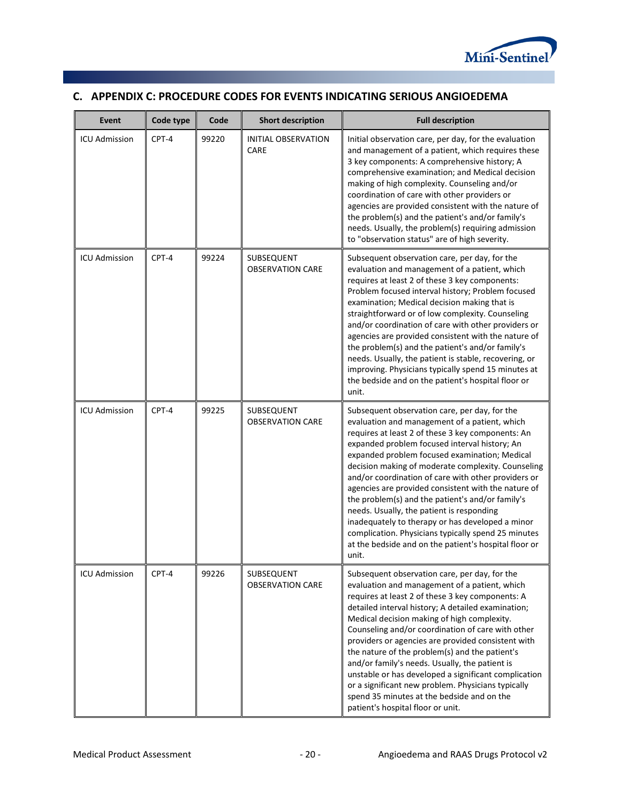

# <span id="page-22-0"></span>**C. APPENDIX C: PROCEDURE CODES FOR EVENTS INDICATING SERIOUS ANGIOEDEMA**

| Event                | Code type | Code  | <b>Short description</b>              | <b>Full description</b>                                                                                                                                                                                                                                                                                                                                                                                                                                                                                                                                                                                                                                                                                 |
|----------------------|-----------|-------|---------------------------------------|---------------------------------------------------------------------------------------------------------------------------------------------------------------------------------------------------------------------------------------------------------------------------------------------------------------------------------------------------------------------------------------------------------------------------------------------------------------------------------------------------------------------------------------------------------------------------------------------------------------------------------------------------------------------------------------------------------|
| <b>ICU Admission</b> | CPT-4     | 99220 | <b>INITIAL OBSERVATION</b><br>CARE    | Initial observation care, per day, for the evaluation<br>and management of a patient, which requires these<br>3 key components: A comprehensive history; A<br>comprehensive examination; and Medical decision<br>making of high complexity. Counseling and/or<br>coordination of care with other providers or<br>agencies are provided consistent with the nature of<br>the problem(s) and the patient's and/or family's<br>needs. Usually, the problem(s) requiring admission<br>to "observation status" are of high severity.                                                                                                                                                                         |
| <b>ICU Admission</b> | CPT-4     | 99224 | SUBSEQUENT<br><b>OBSERVATION CARE</b> | Subsequent observation care, per day, for the<br>evaluation and management of a patient, which<br>requires at least 2 of these 3 key components:<br>Problem focused interval history; Problem focused<br>examination; Medical decision making that is<br>straightforward or of low complexity. Counseling<br>and/or coordination of care with other providers or<br>agencies are provided consistent with the nature of<br>the problem(s) and the patient's and/or family's<br>needs. Usually, the patient is stable, recovering, or<br>improving. Physicians typically spend 15 minutes at<br>the bedside and on the patient's hospital floor or<br>unit.                                              |
| <b>ICU Admission</b> | CPT-4     | 99225 | SUBSEQUENT<br><b>OBSERVATION CARE</b> | Subsequent observation care, per day, for the<br>evaluation and management of a patient, which<br>requires at least 2 of these 3 key components: An<br>expanded problem focused interval history; An<br>expanded problem focused examination; Medical<br>decision making of moderate complexity. Counseling<br>and/or coordination of care with other providers or<br>agencies are provided consistent with the nature of<br>the problem(s) and the patient's and/or family's<br>needs. Usually, the patient is responding<br>inadequately to therapy or has developed a minor<br>complication. Physicians typically spend 25 minutes<br>at the bedside and on the patient's hospital floor or<br>unit. |
| <b>ICU Admission</b> | CPT-4     | 99226 | SUBSEQUENT<br><b>OBSERVATION CARE</b> | Subsequent observation care, per day, for the<br>evaluation and management of a patient, which<br>requires at least 2 of these 3 key components: A<br>detailed interval history; A detailed examination;<br>Medical decision making of high complexity.<br>Counseling and/or coordination of care with other<br>providers or agencies are provided consistent with<br>the nature of the problem(s) and the patient's<br>and/or family's needs. Usually, the patient is<br>unstable or has developed a significant complication<br>or a significant new problem. Physicians typically<br>spend 35 minutes at the bedside and on the<br>patient's hospital floor or unit.                                 |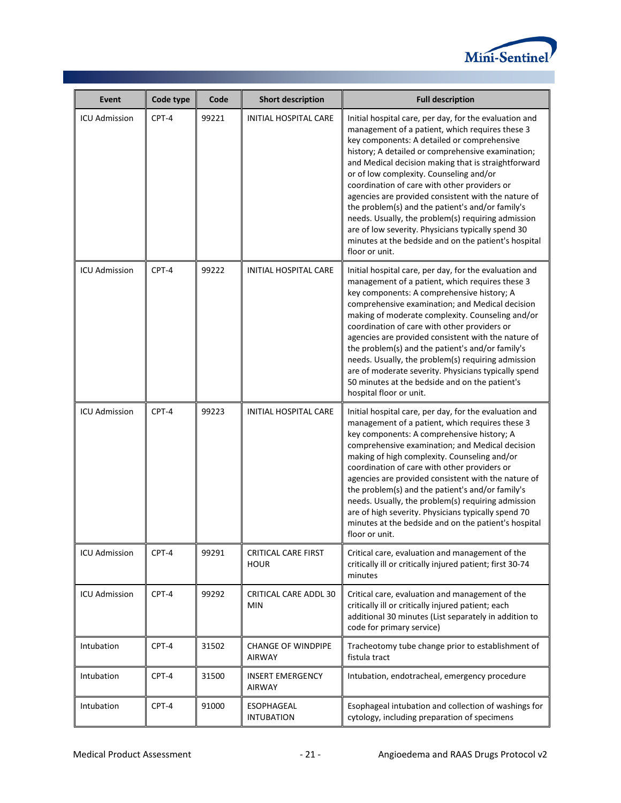

| Event                | Code type | Code  | <b>Short description</b>                   | <b>Full description</b>                                                                                                                                                                                                                                                                                                                                                                                                                                                                                                                                                                                                                                          |
|----------------------|-----------|-------|--------------------------------------------|------------------------------------------------------------------------------------------------------------------------------------------------------------------------------------------------------------------------------------------------------------------------------------------------------------------------------------------------------------------------------------------------------------------------------------------------------------------------------------------------------------------------------------------------------------------------------------------------------------------------------------------------------------------|
| <b>ICU Admission</b> | CPT-4     | 99221 | INITIAL HOSPITAL CARE                      | Initial hospital care, per day, for the evaluation and<br>management of a patient, which requires these 3<br>key components: A detailed or comprehensive<br>history; A detailed or comprehensive examination;<br>and Medical decision making that is straightforward<br>or of low complexity. Counseling and/or<br>coordination of care with other providers or<br>agencies are provided consistent with the nature of<br>the problem(s) and the patient's and/or family's<br>needs. Usually, the problem(s) requiring admission<br>are of low severity. Physicians typically spend 30<br>minutes at the bedside and on the patient's hospital<br>floor or unit. |
| <b>ICU Admission</b> | CPT-4     | 99222 | INITIAL HOSPITAL CARE                      | Initial hospital care, per day, for the evaluation and<br>management of a patient, which requires these 3<br>key components: A comprehensive history; A<br>comprehensive examination; and Medical decision<br>making of moderate complexity. Counseling and/or<br>coordination of care with other providers or<br>agencies are provided consistent with the nature of<br>the problem(s) and the patient's and/or family's<br>needs. Usually, the problem(s) requiring admission<br>are of moderate severity. Physicians typically spend<br>50 minutes at the bedside and on the patient's<br>hospital floor or unit.                                             |
| <b>ICU Admission</b> | CPT-4     | 99223 | INITIAL HOSPITAL CARE                      | Initial hospital care, per day, for the evaluation and<br>management of a patient, which requires these 3<br>key components: A comprehensive history; A<br>comprehensive examination; and Medical decision<br>making of high complexity. Counseling and/or<br>coordination of care with other providers or<br>agencies are provided consistent with the nature of<br>the problem(s) and the patient's and/or family's<br>needs. Usually, the problem(s) requiring admission<br>are of high severity. Physicians typically spend 70<br>minutes at the bedside and on the patient's hospital<br>floor or unit.                                                     |
| <b>ICU Admission</b> | CPT-4     | 99291 | <b>CRITICAL CARE FIRST</b><br><b>HOUR</b>  | Critical care, evaluation and management of the<br>critically ill or critically injured patient; first 30-74<br>minutes                                                                                                                                                                                                                                                                                                                                                                                                                                                                                                                                          |
| <b>ICU Admission</b> | CPT-4     | 99292 | <b>CRITICAL CARE ADDL 30</b><br><b>MIN</b> | Critical care, evaluation and management of the<br>critically ill or critically injured patient; each<br>additional 30 minutes (List separately in addition to<br>code for primary service)                                                                                                                                                                                                                                                                                                                                                                                                                                                                      |
| Intubation           | CPT-4     | 31502 | <b>CHANGE OF WINDPIPE</b><br><b>AIRWAY</b> | Tracheotomy tube change prior to establishment of<br>fistula tract                                                                                                                                                                                                                                                                                                                                                                                                                                                                                                                                                                                               |
| Intubation           | CPT-4     | 31500 | <b>INSERT EMERGENCY</b><br><b>AIRWAY</b>   | Intubation, endotracheal, emergency procedure                                                                                                                                                                                                                                                                                                                                                                                                                                                                                                                                                                                                                    |
| Intubation           | CPT-4     | 91000 | ESOPHAGEAL<br><b>INTUBATION</b>            | Esophageal intubation and collection of washings for<br>cytology, including preparation of specimens                                                                                                                                                                                                                                                                                                                                                                                                                                                                                                                                                             |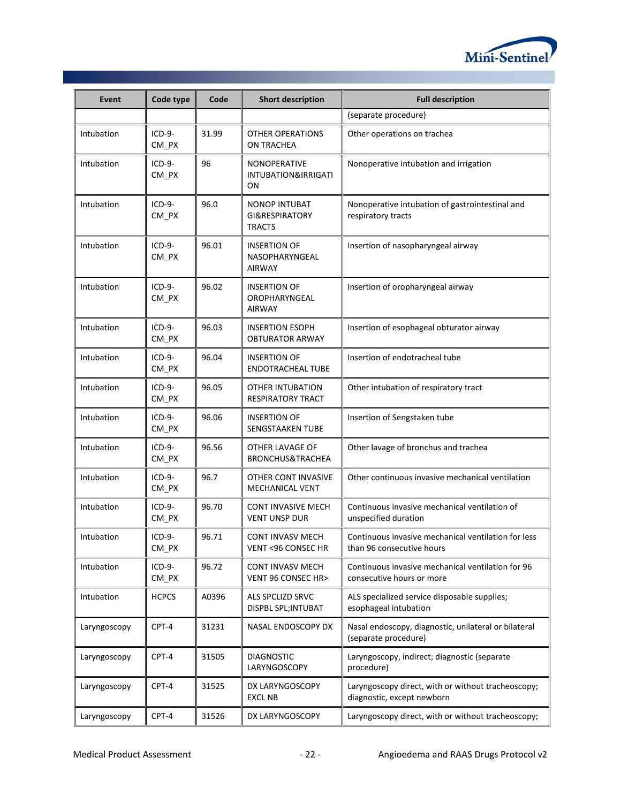

| Event        | Code type           | Code  | <b>Short description</b>                               | <b>Full description</b>                                                          |
|--------------|---------------------|-------|--------------------------------------------------------|----------------------------------------------------------------------------------|
|              |                     |       |                                                        | (separate procedure)                                                             |
| Intubation   | $ICD-9-$<br>$CM_PX$ | 31.99 | OTHER OPERATIONS<br>ON TRACHEA                         | Other operations on trachea                                                      |
| Intubation   | ICD-9-<br>CM_PX     | 96    | NONOPERATIVE<br>INTUBATION&IRRIGATI<br>ΟN              | Nonoperative intubation and irrigation                                           |
| Intubation   | ICD-9-<br>CM_PX     | 96.0  | <b>NONOP INTUBAT</b><br>GI&RESPIRATORY<br>TRACTS       | Nonoperative intubation of gastrointestinal and<br>respiratory tracts            |
| Intubation   | $ICD-9-$<br>CM_PX   | 96.01 | <b>INSERTION OF</b><br>NASOPHARYNGEAL<br><b>AIRWAY</b> | Insertion of nasopharyngeal airway                                               |
| Intubation   | ICD-9-<br>CM_PX     | 96.02 | <b>INSERTION OF</b><br>OROPHARYNGEAL<br><b>AIRWAY</b>  | Insertion of oropharyngeal airway                                                |
| Intubation   | $ICD-9-$<br>$CM_PX$ | 96.03 | <b>INSERTION ESOPH</b><br><b>OBTURATOR ARWAY</b>       | Insertion of esophageal obturator airway                                         |
| Intubation   | ICD-9-<br>CM_PX     | 96.04 | <b>INSERTION OF</b><br><b>ENDOTRACHEAL TUBE</b>        | Insertion of endotracheal tube                                                   |
| Intubation   | $ICD-9-$<br>CM_PX   | 96.05 | OTHER INTUBATION<br><b>RESPIRATORY TRACT</b>           | Other intubation of respiratory tract                                            |
| Intubation   | ICD-9-<br>CM_PX     | 96.06 | <b>INSERTION OF</b><br>SENGSTAAKEN TUBE                | Insertion of Sengstaken tube                                                     |
| Intubation   | ICD-9-<br>$CM_PX$   | 96.56 | OTHER LAVAGE OF<br>BRONCHUS&TRACHEA                    | Other lavage of bronchus and trachea                                             |
| Intubation   | $ICD-9-$<br>$CM_PX$ | 96.7  | OTHER CONT INVASIVE<br><b>MECHANICAL VENT</b>          | Other continuous invasive mechanical ventilation                                 |
| Intubation   | $ICD-9-$<br>$CM_PX$ | 96.70 | CONT INVASIVE MECH<br>VENT UNSP DUR                    | Continuous invasive mechanical ventilation of<br>unspecified duration            |
| Intubation   | ICD-9-<br>$CM$ $PX$ | 96.71 | <b>CONT INVASV MECH</b><br>VENT <96 CONSEC HR          | Continuous invasive mechanical ventilation for less<br>than 96 consecutive hours |
| Intubation   | ICD-9-<br>$CM_PX$   | 96.72 | <b>CONT INVASV MECH</b><br>VENT 96 CONSEC HR>          | Continuous invasive mechanical ventilation for 96<br>consecutive hours or more   |
| Intubation   | <b>HCPCS</b>        | A0396 | ALS SPCLIZD SRVC<br>DISPBL SPL; INTUBAT                | ALS specialized service disposable supplies;<br>esophageal intubation            |
| Laryngoscopy | CPT-4               | 31231 | NASAL ENDOSCOPY DX                                     | Nasal endoscopy, diagnostic, unilateral or bilateral<br>(separate procedure)     |
| Laryngoscopy | CPT-4               | 31505 | <b>DIAGNOSTIC</b><br>LARYNGOSCOPY                      | Laryngoscopy, indirect; diagnostic (separate<br>procedure)                       |
| Laryngoscopy | CPT-4               | 31525 | DX LARYNGOSCOPY<br><b>EXCL NB</b>                      | Laryngoscopy direct, with or without tracheoscopy;<br>diagnostic, except newborn |
| Laryngoscopy | CPT-4               | 31526 | DX LARYNGOSCOPY                                        | Laryngoscopy direct, with or without tracheoscopy;                               |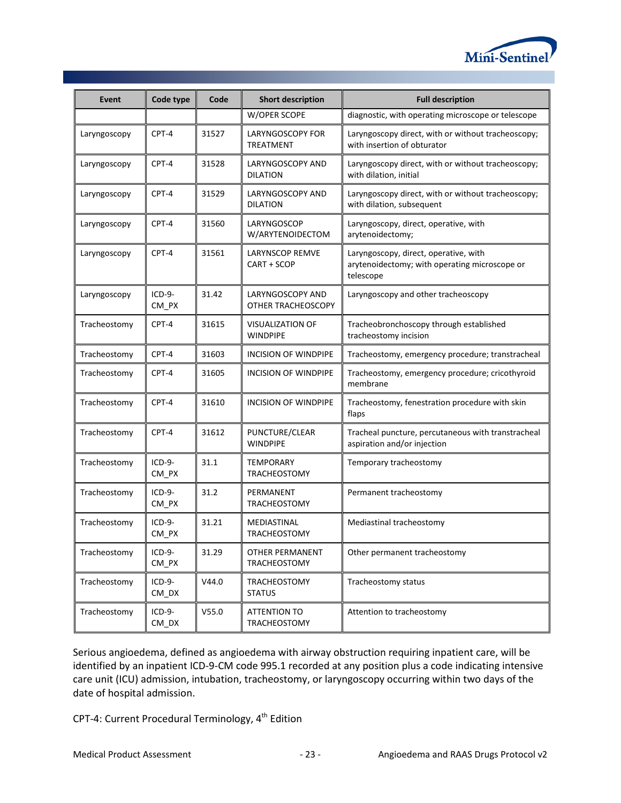

| Event        | Code type                     | Code  | <b>Short description</b>                      | <b>Full description</b>                                                                             |  |  |
|--------------|-------------------------------|-------|-----------------------------------------------|-----------------------------------------------------------------------------------------------------|--|--|
|              |                               |       | W/OPER SCOPE                                  | diagnostic, with operating microscope or telescope                                                  |  |  |
| Laryngoscopy | CPT-4                         | 31527 | <b>LARYNGOSCOPY FOR</b><br><b>TREATMENT</b>   | Laryngoscopy direct, with or without tracheoscopy;<br>with insertion of obturator                   |  |  |
| Laryngoscopy | CPT-4                         | 31528 | LARYNGOSCOPY AND<br><b>DILATION</b>           | Laryngoscopy direct, with or without tracheoscopy;<br>with dilation, initial                        |  |  |
| Laryngoscopy | CPT-4                         | 31529 | LARYNGOSCOPY AND<br><b>DILATION</b>           | Laryngoscopy direct, with or without tracheoscopy;<br>with dilation, subsequent                     |  |  |
| Laryngoscopy | CPT-4                         | 31560 | LARYNGOSCOP<br>W/ARYTENOIDECTOM               | Laryngoscopy, direct, operative, with<br>arytenoidectomy;                                           |  |  |
| Laryngoscopy | CPT-4                         | 31561 | LARYNSCOP REMVE<br>CART + SCOP                | Laryngoscopy, direct, operative, with<br>arytenoidectomy; with operating microscope or<br>telescope |  |  |
| Laryngoscopy | $ICD-9-$<br>CM_PX             | 31.42 | <b>LARYNGOSCOPY AND</b><br>OTHER TRACHEOSCOPY | Laryngoscopy and other tracheoscopy                                                                 |  |  |
| Tracheostomy | CPT-4                         | 31615 | <b>VISUALIZATION OF</b><br><b>WINDPIPE</b>    | Tracheobronchoscopy through established<br>tracheostomy incision                                    |  |  |
| Tracheostomy | CPT-4                         | 31603 | <b>INCISION OF WINDPIPE</b>                   | Tracheostomy, emergency procedure; transtracheal                                                    |  |  |
| Tracheostomy | CPT-4                         | 31605 | <b>INCISION OF WINDPIPE</b>                   | Tracheostomy, emergency procedure; cricothyroid<br>membrane                                         |  |  |
| Tracheostomy | CPT-4                         | 31610 | INCISION OF WINDPIPE                          | Tracheostomy, fenestration procedure with skin<br>flaps                                             |  |  |
| Tracheostomy | CPT-4                         | 31612 | PUNCTURE/CLEAR<br><b>WINDPIPE</b>             | Tracheal puncture, percutaneous with transtracheal<br>aspiration and/or injection                   |  |  |
| Tracheostomy | $ICD-9-$<br>CM_PX             | 31.1  | <b>TEMPORARY</b><br><b>TRACHEOSTOMY</b>       | Temporary tracheostomy                                                                              |  |  |
| Tracheostomy | $ICD-9-$<br>CM_PX             | 31.2  | PERMANENT<br>TRACHEOSTOMY                     | Permanent tracheostomy                                                                              |  |  |
| Tracheostomy | $ICD-9-$<br>CM_PX             | 31.21 | MEDIASTINAL<br><b>TRACHEOSTOMY</b>            | Mediastinal tracheostomy                                                                            |  |  |
| Tracheostomy | ICD-9-<br>CM_PX               | 31.29 | <b>OTHER PERMANENT</b><br>TRACHEOSTOMY        | Other permanent tracheostomy                                                                        |  |  |
| Tracheostomy | ICD-9-<br>$CM$ <sub>_DX</sub> | V44.0 | TRACHEOSTOMY<br><b>STATUS</b>                 | Tracheostomy status                                                                                 |  |  |
| Tracheostomy | ICD-9-<br>$CM$ <sub>_DX</sub> | V55.0 | <b>ATTENTION TO</b><br>TRACHEOSTOMY           | Attention to tracheostomy                                                                           |  |  |

Serious angioedema, defined as angioedema with airway obstruction requiring inpatient care, will be identified by an inpatient ICD-9-CM code 995.1 recorded at any position plus a code indicating intensive care unit (ICU) admission, intubation, tracheostomy, or laryngoscopy occurring within two days of the date of hospital admission.

CPT-4: Current Procedural Terminology, 4<sup>th</sup> Edition